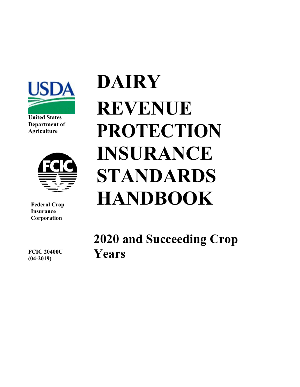

**United States Department of Agriculture**



**Federal Crop Insurance Corporation**

**DAIRY REVENUE PROTECTION INSURANCE STANDARDS HANDBOOK**

**2020 and Succeeding Crop Years**

**FCIC 20400U (04-2019)**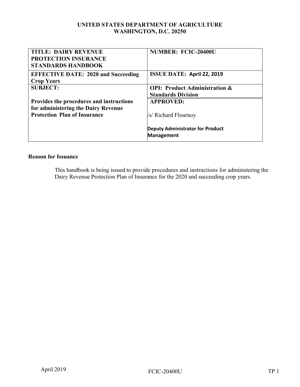#### **UNITED STATES DEPARTMENT OF AGRICULTURE WASHINGTON, D.C. 20250**

| <b>TITLE: DAIRY REVENUE</b>                | <b>NUMBER: FCIC-20400U</b>               |
|--------------------------------------------|------------------------------------------|
| <b>PROTECTION INSURANCE</b>                |                                          |
| <b>STANDARDS HANDBOOK</b>                  |                                          |
| <b>EFFECTIVE DATE: 2020 and Succeeding</b> | <b>ISSUE DATE: April 22, 2019</b>        |
| <b>Crop Years</b>                          |                                          |
| <b>SUBJECT:</b>                            | <b>OPI: Product Administration &amp;</b> |
|                                            | <b>Standards Division</b>                |
| Provides the procedures and instructions   | <b>APPROVED:</b>                         |
| for administering the Dairy Revenue        |                                          |
| <b>Protection Plan of Insurance</b>        | /s/ Richard Flournoy                     |
|                                            |                                          |
|                                            | <b>Deputy Administrator for Product</b>  |
|                                            | <b>Management</b>                        |

#### **Reason for Issuance**

This handbook is being issued to provide procedures and instructions for administering the Dairy Revenue Protection Plan of Insurance for the 2020 and succeeding crop years.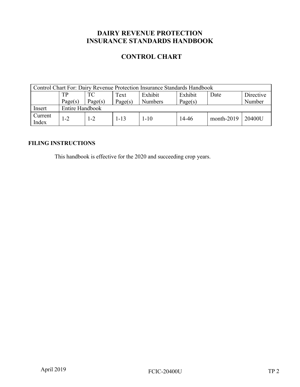# **DAIRY REVENUE PROTECTION INSURANCE STANDARDS HANDBOOK**

## **CONTROL CHART**

| Control Chart For: Dairy Revenue Protection Insurance Standards Handbook |                 |         |          |                |         |              |           |
|--------------------------------------------------------------------------|-----------------|---------|----------|----------------|---------|--------------|-----------|
|                                                                          | TР              | TC      | Text     | Exhibit        | Exhibit | Date         | Directive |
|                                                                          | Page(s)         | Page(s) | Page(s)  | <b>Numbers</b> | Page(s) |              | Number    |
| Insert                                                                   | Entire Handbook |         |          |                |         |              |           |
| Current<br>Index                                                         | l -2            | l -2    | $1 - 13$ | $1 - 10$       | 14-46   | $month-2019$ | 20400U    |

### **FILING INSTRUCTIONS**

This handbook is effective for the 2020 and succeeding crop years.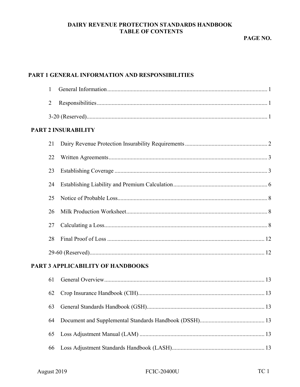#### DAIRY REVENUE PROTECTION STANDARDS HANDBOOK **TABLE OF CONTENTS**

## PART 1 GENERAL INFORMATION AND RESPONSIBILITIES

| 1              |                                   |
|----------------|-----------------------------------|
| $\overline{2}$ |                                   |
|                |                                   |
|                | <b>PART 2 INSURABILITY</b>        |
| 21             |                                   |
| 22             |                                   |
| 23             |                                   |
| 24             |                                   |
| 25             |                                   |
| 26             |                                   |
| 27             |                                   |
| 28             |                                   |
|                |                                   |
|                | PART 3 APPLICABILITY OF HANDBOOKS |
| 61             |                                   |
| 62             |                                   |
| 63             |                                   |
| 64             |                                   |
| 65             |                                   |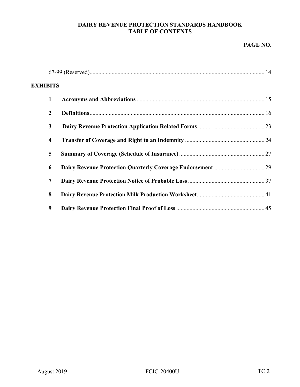#### **DAIRY REVENUE PROTECTION STANDARDS HANDBOOK TABLE OF CONTENTS**

#### **PAGE NO.**

| <b>EXHIBITS</b> |                         |  |
|-----------------|-------------------------|--|
|                 | $\mathbf{1}$            |  |
|                 | $\overline{2}$          |  |
|                 | 3                       |  |
|                 | $\overline{\mathbf{4}}$ |  |
|                 | 5                       |  |
|                 | 6                       |  |
|                 | 7                       |  |
|                 | 8                       |  |
|                 | 9                       |  |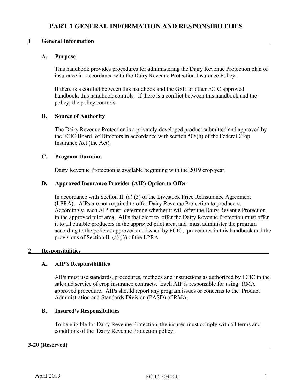#### <span id="page-5-0"></span>**1 General Information**

#### **A. Purpose**

This handbook provides procedures for administering the Dairy Revenue Protection plan of insurance in accordance with the Dairy Revenue Protection Insurance Policy.

If there is a conflict between this handbook and the GSH or other FCIC approved handbook, this handbook controls. If there is a conflict between this handbook and the policy, the policy controls.

#### **B. Source of Authority**

The Dairy Revenue Protection is a privately-developed product submitted and approved by the FCIC Board of Directors in accordance with section 508(h) of the Federal Crop Insurance Act (the Act).

#### **C. Program Duration**

Dairy Revenue Protection is available beginning with the 2019 crop year.

#### **D. Approved Insurance Provider (AIP) Option to Offer**

In accordance with Section II. (a) (3) of the Livestock Price Reinsurance Agreement (LPRA), AIPs are not required to offer Dairy Revenue Protection to producers. Accordingly, each AIP must determine whether it will offer the Dairy Revenue Protection in the approved pilot area. AIPs that elect to offer the Dairy Revenue Protection must offer it to all eligible producers in the approved pilot area, and must administer the program according to the policies approved and issued by FCIC, procedures in this handbook and the provisions of Section II. (a) (3) of the LPRA.

#### <span id="page-5-1"></span>2 Responsibilities

#### **A. AIP's Responsibilities**

AIPs must use standards, procedures, methods and instructions as authorized by FCIC in the sale and service of crop insurance contracts. Each AIP is responsible for using RMA approved procedure. AIPs should report any program issues or concerns to the Product Administration and Standards Division (PASD) of RMA.

#### **B. Insured's Responsibilities**

To be eligible for Dairy Revenue Protection, the insured must comply with all terms and conditions of the Dairy Revenue Protection policy.

#### <span id="page-5-2"></span>**3-20 (Reserved)\_\_\_\_\_\_\_\_\_\_\_\_\_\_\_\_\_\_\_\_\_\_\_\_\_\_\_\_\_\_\_\_\_\_\_\_\_\_\_\_\_\_\_\_\_\_\_\_\_\_\_\_\_\_\_\_\_\_\_\_\_\_\_\_\_\_\_\_\_**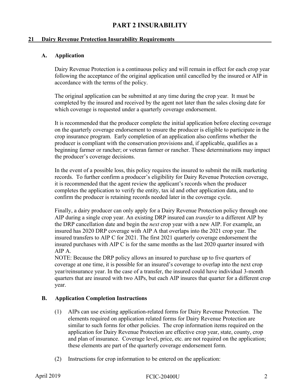# **PART 2 INSURABILITY**

#### <span id="page-6-1"></span><span id="page-6-0"></span>**21 Dairy Revenue Protection Insurability Requirements\_\_\_\_\_\_\_\_\_\_\_\_\_\_\_\_\_\_\_\_\_\_\_\_\_\_\_\_\_\_\_\_\_**

#### **A. Application**

Dairy Revenue Protection is a continuous policy and will remain in effect for each crop year following the acceptance of the original application until cancelled by the insured or AIP in accordance with the terms of the policy.

The original application can be submitted at any time during the crop year. It must be completed by the insured and received by the agent not later than the sales closing date for which coverage is requested under a quarterly coverage endorsement.

It is recommended that the producer complete the initial application before electing coverage on the quarterly coverage endorsement to ensure the producer is eligible to participate in the crop insurance program. Early completion of an application also confirms whether the producer is compliant with the conservation provisions and, if applicable, qualifies as a beginning farmer or rancher; or veteran farmer or rancher. These determinations may impact the producer's coverage decisions.

In the event of a possible loss, this policy requires the insured to submit the milk marketing records. To further confirm a producer's eligibility for Dairy Revenue Protection coverage, it is recommended that the agent review the applicant's records when the producer completes the application to verify the entity, tax id and other application data, and to confirm the producer is retaining records needed later in the coverage cycle.

Finally, a dairy producer can only apply for a Dairy Revenue Protection policy through one AIP during a single crop year. An existing DRP insured can *transfer* to a different AIP by the DRP cancellation date and begin the *next* crop year with a new AIP. For example, an insured has 2020 DRP coverage with AIP A that overlaps into the 2021 crop year. The insured transfers to AIP C for 2021. The first 2021 quarterly coverage endorsement the insured purchases with AIP C is for the same months as the last 2020 quarter insured with AIP A.

NOTE: Because the DRP policy allows an insured to purchase up to five quarters of coverage at one time, it is possible for an insured's coverage to overlap into the next crop year/reinsurance year. In the case of a transfer, the insured could have individual 3-month quarters that are insured with two AIPs, but each AIP insures that quarter for a different crop year.

#### **B. Application Completion Instructions**

- (1) AIPs can use existing application-related forms for Dairy Revenue Protection. The elements required on application related forms for Dairy Revenue Protection are similar to such forms for other policies. The crop information items required on the application for Dairy Revenue Protection are effective crop year, state, county, crop and plan of insurance. Coverage level, price, etc. are not required on the application; these elements are part of the quarterly coverage endorsement form.
- (2) Instructions for crop information to be entered on the application: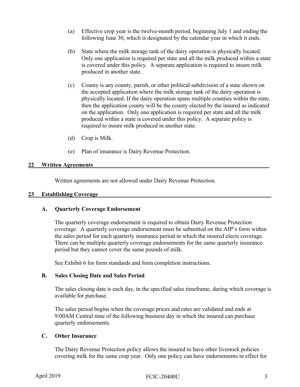- (a) Effective crop year is the twelve-month period, beginning July 1 and ending the following June 30, which is designated by the calendar year in which it ends.
- (b) State where the milk storage tank of the dairy operation is physically located. Only one application is required per state and all the milk produced within a state is covered under this policy. A separate application is required to insure milk produced in another state.
- (c) County is any county, parish, or other political subdivision of a state shown on the accepted application where the milk storage tank of the dairy operation is physically located. If the dairy operation spans multiple counties within the state, then the application county will be the county elected by the insured as indicated on the application. Only one application is required per state and all the milk produced within a state is covered under this policy. A separate policy is required to insure milk produced in another state.
- (d) Crop is Milk.
- (e) Plan of insurance is Dairy Revenue Protection.

#### <span id="page-7-0"></span>22 Written Agreements

Written agreements are not allowed under Dairy Revenue Protection.

#### <span id="page-7-1"></span>**23 Establishing Coverage\_\_\_\_\_\_\_\_\_\_\_\_\_\_\_\_\_\_\_\_\_\_\_\_\_\_\_\_\_\_\_\_\_\_\_\_\_\_\_\_\_\_\_\_\_\_\_\_\_\_\_\_\_\_\_\_\_\_\_**

#### **A. Quarterly Coverage Endorsement**

The quarterly coverage endorsement is required to obtain Dairy Revenue Protection coverage. A quarterly coverage endorsement must be submitted on the AIP's form within the sales period for each quarterly insurance period in which the insured elects coverage. There can be multiple quarterly coverage endorsements for the same quarterly insurance period but they cannot cover the same pounds of milk.

See Exhibit 6 for form standards and form completion instructions.

#### **B. Sales Closing Date and Sales Period**

The sales closing date is each day, in the specified sales timeframe, during which coverage is available for purchase.

The sales period begins when the coverage prices and rates are validated and ends at 9:00AM Central time of the following business day in which the insured can purchase quarterly endorsements.

#### **C. Other Insurance**

The Dairy Revenue Protection policy allows the insured to have other livestock policies covering milk for the same crop year. Only one policy can have endorsements in effect for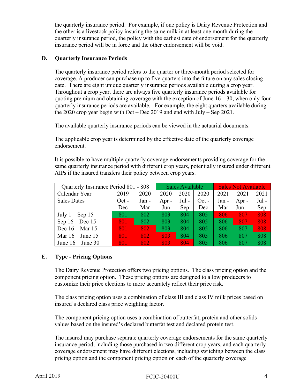the quarterly insurance period. For example, if one policy is Dairy Revenue Protection and the other is a livestock policy insuring the same milk in at least one month during the quarterly insurance period, the policy with the earliest date of endorsement for the quarterly insurance period will be in force and the other endorsement will be void.

#### **D. Quarterly Insurance Periods**

The quarterly insurance period refers to the quarter or three-month period selected for coverage. A producer can purchase up to five quarters into the future on any sales closing date. There are eight unique quarterly insurance periods available during a crop year. Throughout a crop year, there are always five quarterly insurance periods available for quoting premium and obtaining coverage with the exception of June  $16 - 30$ , when only four quarterly insurance periods are available. For example, the eight quarters available during the 2020 crop year begin with Oct – Dec 2019 and end with July – Sep 2021.

The available quarterly insurance periods can be viewed in the actuarial documents.

The applicable crop year is determined by the effective date of the quarterly coverage endorsement.

It is possible to have multiple quarterly coverage endorsements providing coverage for the same quarterly insurance period with different crop years, potentially insured under different AIPs if the insured transfers their policy between crop years.

| Quarterly Insurance Period 801 - 808 |         |       | Sales Available |         | <b>Sales Not Available</b> |       |       |         |
|--------------------------------------|---------|-------|-----------------|---------|----------------------------|-------|-------|---------|
| Calendar Year                        | 2019    | 2020  | 2020            | 2020    | 2020                       | 2021  | 2021  | 2021    |
| <b>Sales Dates</b>                   | $Oct -$ | Jan - | Apr $-$         | $Jul -$ | $Oct -$                    | Jan - | Apr - | $Jul -$ |
|                                      | Dec     | Mar   | Jun             | Sep     | Dec                        | Mar   | Jun   | Sep     |
| July $1 -$ Sep 15                    | 801     | 802   | 803             | 804     | 805                        | 806   | 807   | 808     |
| Sep $16 - Dec 15$                    | 801     | 802   | 803             | 804     | 805                        | 806   | 807   | 808     |
| Dec $16 - \text{Mar } 15$            | 801     | 802   | 803             | 804     | 805                        | 806   | 807   | 808     |
| Mar $16 -$ June 15                   | 801     | 802   | 803             | 804     | 805                        | 806   | 807   | 808     |
| June $16 -$ June 30                  | 80T     | 802   | 803             | 804     | 805                        | 806   | 807   | 808     |

#### **E. Type - Pricing Options**

The Dairy Revenue Protection offers two pricing options. The class pricing option and the component pricing option. These pricing options are designed to allow producers to customize their price elections to more accurately reflect their price risk.

The class pricing option uses a combination of class III and class IV milk prices based on insured's declared class price weighting factor.

The component pricing option uses a combination of butterfat, protein and other solids values based on the insured's declared butterfat test and declared protein test.

The insured may purchase separate quarterly coverage endorsements for the same quarterly insurance period, including those purchased in two different crop years, and each quarterly coverage endorsement may have different elections, including switching between the class pricing option and the component pricing option on each of the quarterly coverage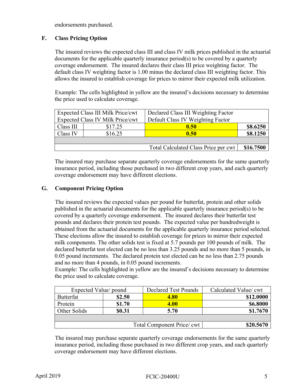endorsements purchased.

#### **F. Class Pricing Option**

The insured reviews the expected class III and class IV milk prices published in the actuarial documents for the applicable quarterly insurance period(s) to be covered by a quarterly coverage endorsement. The insured declares their class III price weighting factor. The default class IV weighting factor is 1.00 minus the declared class III weighting factor. This allows the insured to establish coverage for prices to mirror their expected milk utilization.

Example: The cells highlighted in yellow are the insured's decisions necessary to determine the price used to calculate coverage.

|           | Expected Class III Milk Price/cwt       | Declared Class III Weighting Factor  |           |
|-----------|-----------------------------------------|--------------------------------------|-----------|
|           | <b>Expected Class IV Milk Price/cwt</b> | Default Class IV Weighting Factor    |           |
| Class III | \$17.25                                 | 0.50                                 | \$8.6250  |
| Class IV  | \$16.25                                 | 0.50                                 | \$8.1250  |
|           |                                         |                                      |           |
|           |                                         | Total Calculated Class Price per cwt | \$16.7500 |

The insured may purchase separate quarterly coverage endorsements for the same quarterly insurance period, including those purchased in two different crop years, and each quarterly coverage endorsement may have different elections.

#### **G. Component Pricing Option**

The insured reviews the expected values per pound for butterfat, protein and other solids published in the actuarial documents for the applicable quarterly insurance period(s) to be covered by a quarterly coverage endorsement. The insured declares their butterfat test pounds and declares their protein test pounds. The expected value per hundredweight is obtained from the actuarial documents for the applicable quarterly insurance period selected. These elections allow the insured to establish coverage for prices to mirror their expected milk components. The other solids test is fixed at 5.7 pounds per 100 pounds of milk. The declared butterfat test elected can be no less than 3.25 pounds and no more than 5 pounds, in 0.05 pound increments. The declared protein test elected can be no less than 2.75 pounds and no more than 4 pounds, in 0.05 pound increments.

Example: The cells highlighted in yellow are the insured's decisions necessary to determine the price used to calculate coverage.

| Expected Value/ pound                  |        | <b>Declared Test Pounds</b> | Calculated Value/ cwt |  |
|----------------------------------------|--------|-----------------------------|-----------------------|--|
| Butterfat                              | \$2.50 | <b>4.80</b>                 | \$12.0000             |  |
| Protein                                | \$1.70 | 4.00                        | \$6.8000              |  |
| Other Solids                           | \$0.31 | 5.70                        | \$1.7670              |  |
|                                        |        |                             |                       |  |
| Total Component Price/cwt<br>\$20.5670 |        |                             |                       |  |

The insured may purchase separate quarterly coverage endorsements for the same quarterly insurance period, including those purchased in two different crop years, and each quarterly coverage endorsement may have different elections.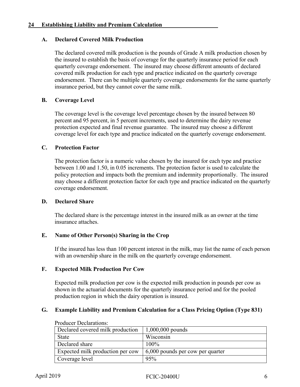#### <span id="page-10-0"></span>**24 Establishing Liability and Premium Calculation\_\_\_\_\_\_\_\_\_\_\_\_\_\_\_\_\_\_\_**

#### **A. Declared Covered Milk Production**

The declared covered milk production is the pounds of Grade A milk production chosen by the insured to establish the basis of coverage for the quarterly insurance period for each quarterly coverage endorsement. The insured may choose different amounts of declared covered milk production for each type and practice indicated on the quarterly coverage endorsement. There can be multiple quarterly coverage endorsements for the same quarterly insurance period, but they cannot cover the same milk.

#### **B. Coverage Level**

The coverage level is the coverage level percentage chosen by the insured between 80 percent and 95 percent, in 5 percent increments, used to determine the dairy revenue protection expected and final revenue guarantee. The insured may choose a different coverage level for each type and practice indicated on the quarterly coverage endorsement.

#### **C. Protection Factor**

The protection factor is a numeric value chosen by the insured for each type and practice between 1.00 and 1.50, in 0.05 increments. The protection factor is used to calculate the policy protection and impacts both the premium and indemnity proportionally. The insured may choose a different protection factor for each type and practice indicated on the quarterly coverage endorsement.

#### **D. Declared Share**

The declared share is the percentage interest in the insured milk as an owner at the time insurance attaches.

#### **E. Name of Other Person(s) Sharing in the Crop**

If the insured has less than 100 percent interest in the milk, may list the name of each person with an ownership share in the milk on the quarterly coverage endorsement.

#### **F. Expected Milk Production Per Cow**

Expected milk production per cow is the expected milk production in pounds per cow as shown in the actuarial documents for the quarterly insurance period and for the pooled production region in which the dairy operation is insured.

#### **G. Example Liability and Premium Calculation for a Class Pricing Option (Type 831)**

| Declared covered milk production | $1,000,000$ pounds                       |
|----------------------------------|------------------------------------------|
| <b>State</b>                     | Wisconsin                                |
| Declared share                   | $100\%$                                  |
| Expected milk production per cow | $\vert$ 6,000 pounds per cow per quarter |
| Coverage level                   | 95%                                      |

Producer Declarations: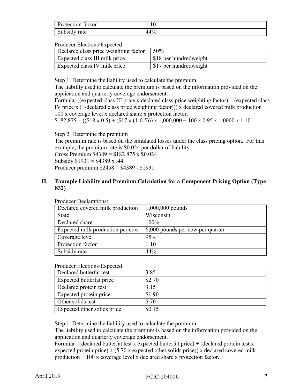| Protection factor | 1.IV |
|-------------------|------|
| Subsidy rate      | 14%  |

#### Producer Elections/Expected

| Declared class price weighting factor | 50%                    |
|---------------------------------------|------------------------|
| Expected class III milk price         | \$18 per hundredweight |
| <b>Expected class IV milk price</b>   | \$17 per hundredweight |

Step 1. Determine the liability used to calculate the premium

The liability used to calculate the premium is based on the information provided on the application and quarterly coverage endorsement.

Formula: ((expected class III price x declared class price weighting factor) + (expected class IV price x (1-declared class price weighting factor))) x declared covered milk production  $\div$ 100 x coverage level x declared share x protection factor.

 $$182,875 = ((\$18 \times 0.5) + (\$17 \times (1-0.5))) \times 1,000,000 \div 100 \times 0.95 \times 1.0000 \times 1.10$ 

Step 2. Determine the premium

The premium rate is based on the simulated losses under the class pricing option. For this example, the premium rate is \$0.024 per dollar of liability.

Gross Premium \$4389 = \$182,875 x \$0.024 Subsidy  $$1931 = $4389 \text{ x}.44$ 

Producer premium \$2458 = \$4389 - \$1931

#### **H. Example Liability and Premium Calculation for a Component Pricing Option (Type 832)**

| $1,000,000$ pounds               |
|----------------------------------|
| Wisconsin                        |
| $100\%$                          |
| 6,000 pounds per cow per quarter |
| 95%                              |
| 1.10                             |
| 44%                              |
|                                  |

Producer Declarations:

#### Producer Elections/Expected

| Declared butterfat test     | 3.85   |
|-----------------------------|--------|
| Expected butterfat price    | \$2.70 |
| Declared protein test       | 3.15   |
| Expected protein price      | \$1.90 |
| Other solids test           | 5.70   |
| Expected other solids price | \$0.15 |

Step 1. Determine the liability used to calculate the premium

The liability used to calculate the premium is based on the information provided on the application and quarterly coverage endorsement.

Formula: ((declared butterfat test x expected butterfat price) + (declared protein test x expected protein price)  $+ (5.70 \text{ x expected other solids price})$  x declared covered milk production  $\div 100$  x coverage level x declared share x protection factor.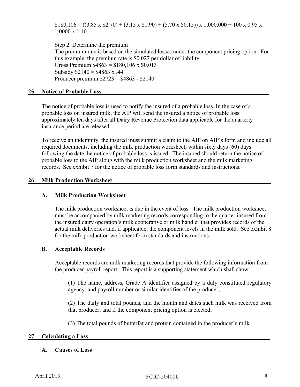$$180,106 = ((3.85 \times $2.70) + (3.15 \times $1.90) + (5.70 \times $0.15)) \times 1,000,000 \div 100 \times 0.95 \times$ 1.0000 x 1.10

Step 2. Determine the premium The premium rate is based on the simulated losses under the component pricing option. For this example, the premium rate is \$0.027 per dollar of liability. Gross Premium  $$4863 = $180,106 \times $0.013$ Subsidy  $$2140 = $4863 \times .44$ Producer premium \$2723 = \$4863 - \$2140

#### <span id="page-12-0"></span>**25 Notice of Probable Loss\_\_\_\_\_\_\_\_\_\_\_\_\_\_\_\_\_\_\_\_\_\_\_\_\_\_\_\_\_\_\_\_\_\_\_\_\_\_\_\_\_\_\_\_\_\_\_\_\_\_\_\_\_\_\_\_\_**

The notice of probable loss is used to notify the insured of a probable loss. In the case of a probable loss on insured milk, the AIP will send the insured a notice of probable loss approximately ten days after all Dairy Revenue Protection data applicable for the quarterly insurance period are released.

To receive an indemnity, the insured must submit a claim to the AIP on AIP's form and include all required documents, including the milk production worksheet, within sixty days (60) days following the date the notice of probable loss is issued. The insured should return the notice of probable loss to the AIP along with the milk production worksheet and the milk marketing records. See exhibit 7 for the notice of probable loss form standards and instructions.

#### <span id="page-12-1"></span>26 **Milk Production Worksheet**

#### **A. Milk Production Worksheet**

The milk production worksheet is due in the event of loss. The milk production worksheet must be accompanied by milk marketing records corresponding to the quarter insured from the insured dairy operation's milk cooperative or milk handler that provides records of the actual milk deliveries and, if applicable, the component levels in the milk sold. See exhibit 8 for the milk production worksheet form standards and instructions.

#### **B. Acceptable Records**

Acceptable records are milk marketing records that provide the following information from the producer payroll report. This report is a supporting statement which shall show:

(1) The name, address, Grade A identifier assigned by a duly constituted regulatory agency, and payroll number or similar identifier of the producer;

(2) The daily and total pounds, and the month and dates such milk was received from that producer; and if the component pricing option is elected;

(3) The total pounds of butterfat and protein contained in the producer's milk.

#### <span id="page-12-2"></span>**27 Calculating a Loss\_\_\_\_\_\_\_\_\_\_\_\_\_\_\_\_\_\_\_\_\_\_\_\_\_\_\_\_\_\_\_\_\_\_\_\_\_\_\_\_\_\_\_\_\_\_\_\_\_\_\_\_\_\_\_\_\_\_\_\_\_\_**

#### **A. Causes of Loss**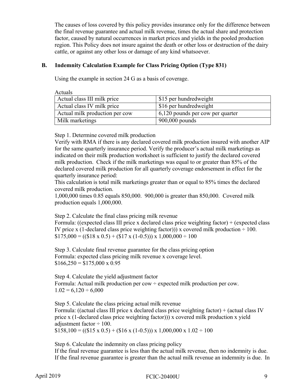The causes of loss covered by this policy provides insurance only for the difference between the final revenue guarantee and actual milk revenue, times the actual share and protection factor, caused by natural occurrences in market prices and yields in the pooled production region. This Policy does not insure against the death or other loss or destruction of the dairy cattle, or against any other loss or damage of any kind whatsoever.

#### **B. Indemnity Calculation Example for Class Pricing Option (Type 831)**

Using the example in section 24 G as a basis of coverage.

Actuals

| Actual class III milk price    | \$15 per hundredweight              |
|--------------------------------|-------------------------------------|
| Actual class IV milk price     | \$16 per hundredweight              |
| Actual milk production per cow | $+6,120$ pounds per cow per quarter |
| Milk marketings                | $900,000$ pounds                    |

Step 1. Determine covered milk production

Verify with RMA if there is any declared covered milk production insured with another AIP for the same quarterly insurance period. Verify the producer's actual milk marketings as indicated on their milk production worksheet is sufficient to justify the declared covered milk production. Check if the milk marketings was equal to or greater than 85% of the declared covered milk production for all quarterly coverage endorsement in effect for the quarterly insurance period:

This calculation is total milk marketings greater than or equal to 85% times the declared covered milk production.

1,000,000 times 0.85 equals 850,000. 900,000 is greater than 850,000. Covered milk production equals 1,000,000.

Step 2. Calculate the final class pricing milk revenue

Formula: ((expected class III price x declared class price weighting factor) + (expected class IV price x (1-declared class price weighting factor)) x covered milk production  $\div 100$ .  $$175,000 = ((\$18 \times 0.5) + (\$17 \times (1-0.5))) \times 1,000,000 \div 100$ 

Step 3. Calculate final revenue guarantee for the class pricing option Formula: expected class pricing milk revenue x coverage level.  $$166,250 = $175,000 \times 0.95$ 

Step 4. Calculate the yield adjustment factor Formula: Actual milk production per cow  $\div$  expected milk production per cow.  $1.02 = 6{,}120 \div 6{,}000$ 

Step 5. Calculate the class pricing actual milk revenue Formula: ((actual class III price x declared class price weighting factor) + (actual class IV price x (1-declared class price weighting factor))) x covered milk production x yield adjustment factor  $\div 100$ .  $$158,100 = ((\$15 \times 0.5) + (\$16 \times (1-0.5))) \times 1,000,000 \times 1.02 \div 100$ 

Step 6. Calculate the indemnity on class pricing policy If the final revenue guarantee is less than the actual milk revenue, then no indemnity is due. If the final revenue guarantee is greater than the actual milk revenue an indemnity is due. In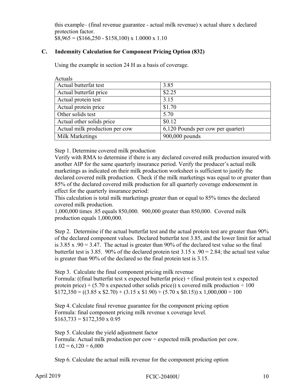this example– (final revenue guarantee - actual milk revenue) x actual share x declared protection factor.  $$8,965 = ($166,250 - $158,100) \times 1.0000 \times 1.10$ 

#### **C. Indemnity Calculation for Component Pricing Option (832)**

Using the example in section 24 H as a basis of coverage.

| Actuals                        |                                   |
|--------------------------------|-----------------------------------|
| Actual butterfat test          | 3.85                              |
| Actual butterfat price         | \$2.25                            |
| Actual protein test            | 3.15                              |
| Actual protein price           | \$1.70                            |
| Other solids test              | 5.70                              |
| Actual other solids price      | \$0.12                            |
| Actual milk production per cow | 6,120 Pounds per cow per quarter) |
| Milk Marketings                | 900,000 pounds                    |

Step 1. Determine covered milk production

Verify with RMA to determine if there is any declared covered milk production insured with another AIP for the same quarterly insurance period. Verify the producer's actual milk marketings as indicated on their milk production worksheet is sufficient to justify the declared covered milk production. Check if the milk marketings was equal to or greater than 85% of the declared covered milk production for all quarterly coverage endorsement in effect for the quarterly insurance period:

This calculation is total milk marketings greater than or equal to 85% times the declared covered milk production.

1,000,000 times .85 equals 850,000. 900,000 greater than 850,000. Covered milk production equals 1,000,000.

Step 2. Determine if the actual butterfat test and the actual protein test are greater than 90% of the declared component values. Declared butterfat test 3.85, and the lower limit for actual is  $3.85$  x .90 = 3.47. The actual is greater than 90% of the declared test value so the final butterfat test is 3.85. 90% of the declared protein test 3.15 x .90 = 2.84; the actual test value is greater than 90% of the declared so the final protein test is 3.15.

Step 3. Calculate the final component pricing milk revenue Formula: ((final butterfat test x expected butterfat price) + (final protein test x expected protein price) + (5.70 x expected other solids price)) x covered milk production  $\div 100$  $$172,350 = ((3.85 \times $2.70) + (3.15 \times $1.90) + (5.70 \times $0.15)) \times 1,000,000 \div 100$ 

Step 4. Calculate final revenue guarantee for the component pricing option Formula: final component pricing milk revenue x coverage level.  $$163,733 = $172,350 \times 0.95$ 

Step 5. Calculate the yield adjustment factor Formula: Actual milk production per cow  $\div$  expected milk production per cow.  $1.02 = 6{,}120 \div 6{,}000$ 

Step 6. Calculate the actual milk revenue for the component pricing option

April 2019 **FCIC-20400U** 10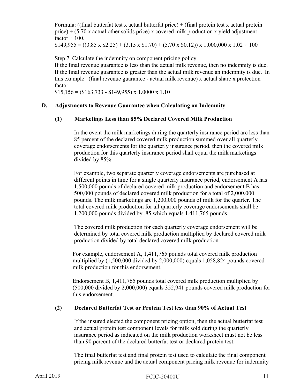Formula: ((final butterfat test x actual butterfat price) + (final protein test x actual protein price)  $+$  (5.70 x actual other solids price) x covered milk production x yield adjustment factor  $\div$  100.

 $$149,955 = ((3.85 \times $2.25) + (3.15 \times $1.70) + (5.70 \times $0.12)) \times 1,000,000 \times 1.02 \div 100$ 

Step 7. Calculate the indemnity on component pricing policy If the final revenue guarantee is less than the actual milk revenue, then no indemnity is due. If the final revenue guarantee is greater than the actual milk revenue an indemnity is due. In this example– (final revenue guarantee - actual milk revenue) x actual share x protection factor.

 $$15,156 = ($163,733 - $149,955) \times 1.0000 \times 1.10$ 

#### **D. Adjustments to Revenue Guarantee when Calculating an Indemnity**

#### **(1) Marketings Less than 85% Declared Covered Milk Production**

In the event the milk marketings during the quarterly insurance period are less than 85 percent of the declared covered milk production summed over all quarterly coverage endorsements for the quarterly insurance period, then the covered milk production for this quarterly insurance period shall equal the milk marketings divided by 85%.

For example, two separate quarterly coverage endorsements are purchased at different points in time for a single quarterly insurance period, endorsement A has 1,500,000 pounds of declared covered milk production and endorsement B has 500,000 pounds of declared covered milk production for a total of 2,000,000 pounds. The milk marketings are 1,200,000 pounds of milk for the quarter. The total covered milk production for all quarterly coverage endorsements shall be 1,200,000 pounds divided by .85 which equals 1,411,765 pounds.

The covered milk production for each quarterly coverage endorsement will be determined by total covered milk production multiplied by declared covered milk production divided by total declared covered milk production.

For example, endorsement A, 1,411,765 pounds total covered milk production multiplied by (1,500,000 divided by 2,000,000) equals 1,058,824 pounds covered milk production for this endorsement.

Endorsement B, 1,411,765 pounds total covered milk production multiplied by (500,000 divided by 2,000,000) equals 352,941 pounds covered milk production for this endorsement.

#### **(2) Declared Butterfat Test or Protein Test less than 90% of Actual Test**

If the insured elected the component pricing option, then the actual butterfat test and actual protein test component levels for milk sold during the quarterly insurance period as indicated on the milk production worksheet must not be less than 90 percent of the declared butterfat test or declared protein test.

The final butterfat test and final protein test used to calculate the final component pricing milk revenue and the actual component pricing milk revenue for indemnity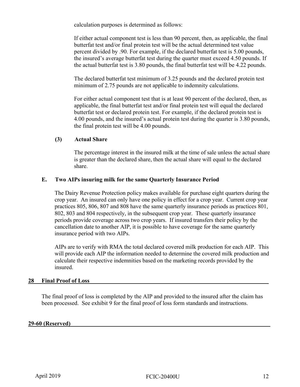calculation purposes is determined as follows:

If either actual component test is less than 90 percent, then, as applicable, the final butterfat test and/or final protein test will be the actual determined test value percent divided by .90. For example, if the declared butterfat test is 5.00 pounds, the insured's average butterfat test during the quarter must exceed 4.50 pounds. If the actual butterfat test is 3.80 pounds, the final butterfat test will be 4.22 pounds.

The declared butterfat test minimum of 3.25 pounds and the declared protein test minimum of 2.75 pounds are not applicable to indemnity calculations.

For either actual component test that is at least 90 percent of the declared, then, as applicable, the final butterfat test and/or final protein test will equal the declared butterfat test or declared protein test. For example, if the declared protein test is 4.00 pounds, and the insured's actual protein test during the quarter is 3.80 pounds, the final protein test will be 4.00 pounds.

#### **(3) Actual Share**

The percentage interest in the insured milk at the time of sale unless the actual share is greater than the declared share, then the actual share will equal to the declared share.

#### **E. Two AIPs insuring milk for the same Quarterly Insurance Period**

The Dairy Revenue Protection policy makes available for purchase eight quarters during the crop year. An insured can only have one policy in effect for a crop year. Current crop year practices 805, 806, 807 and 808 have the same quarterly insurance periods as practices 801, 802, 803 and 804 respectively, in the subsequent crop year. These quarterly insurance periods provide coverage across two crop years. If insured transfers their policy by the cancellation date to another AIP, it is possible to have coverage for the same quarterly insurance period with two AIPs.

AIPs are to verify with RMA the total declared covered milk production for each AIP. This will provide each AIP the information needed to determine the covered milk production and calculate their respective indemnities based on the marketing records provided by the insured.

#### <span id="page-16-0"></span>28 **Final Proof of Loss**

The final proof of loss is completed by the AIP and provided to the insured after the claim has been processed. See exhibit 9 for the final proof of loss form standards and instructions.

#### <span id="page-16-1"></span>**29-60 (Reserved)\_\_\_\_\_\_\_\_\_\_\_\_\_\_\_\_\_\_\_\_\_\_\_\_\_\_\_\_\_\_\_\_\_\_\_\_\_\_\_\_\_\_\_\_\_\_\_\_\_\_\_\_\_\_\_\_\_\_\_\_\_\_\_\_\_\_\_\_**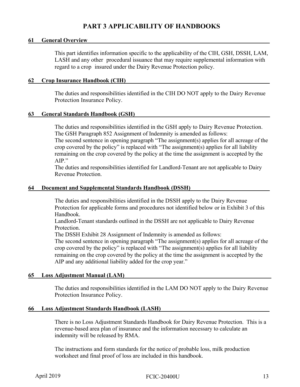# **PART 3 APPLICABILITY OF HANDBOOKS**

#### <span id="page-17-1"></span><span id="page-17-0"></span>**61** General Overview

This part identifies information specific to the applicability of the CIH, GSH, DSSH, LAM, LASH and any other procedural issuance that may require supplemental information with regard to a crop insured under the Dairy Revenue Protection policy.

#### <span id="page-17-2"></span>**62 Crop Insurance Handbook (CIH)\_\_\_\_\_\_\_\_\_\_\_\_\_\_\_\_\_\_\_\_\_\_\_\_\_\_\_\_\_\_\_\_\_\_\_\_\_\_\_\_\_\_\_\_\_\_\_\_\_**

The duties and responsibilities identified in the CIH DO NOT apply to the Dairy Revenue Protection Insurance Policy.

#### <span id="page-17-3"></span>**63 General Standards Handbook (GSH)\_\_\_\_\_\_\_\_\_\_\_\_\_\_\_\_\_\_\_\_\_\_\_\_\_\_\_\_\_\_\_\_\_\_\_\_\_\_\_\_\_\_\_\_\_\_**

The duties and responsibilities identified in the GSH apply to Dairy Revenue Protection. The GSH Paragraph 852 Assignment of Indemnity is amended as follows:

The second sentence in opening paragraph "The assignment(s) applies for all acreage of the crop covered by the policy" is replaced with "The assignment(s) applies for all liability remaining on the crop covered by the policy at the time the assignment is accepted by the AIP."

The duties and responsibilities identified for Landlord-Tenant are not applicable to Dairy Revenue Protection.

#### <span id="page-17-4"></span>**64 Document and Supplemental Standards Handbook (DSSH)\_\_\_\_\_\_\_\_\_\_\_\_\_\_\_\_\_\_\_\_\_\_\_\_\_\_\_**

The duties and responsibilities identified in the DSSH apply to the Dairy Revenue Protection for applicable forms and procedures not identified below or in Exhibit 3 of this Handbook.

Landlord-Tenant standards outlined in the DSSH are not applicable to Dairy Revenue Protection.

The DSSH Exhibit 28 Assignment of Indemnity is amended as follows:

The second sentence in opening paragraph "The assignment(s) applies for all acreage of the crop covered by the policy" is replaced with "The assignment(s) applies for all liability remaining on the crop covered by the policy at the time the assignment is accepted by the AIP and any additional liability added for the crop year."

#### <span id="page-17-5"></span>**65 Loss Adjustment Manual (LAM)\_\_\_\_\_\_\_\_\_\_\_\_\_\_\_\_\_\_\_\_\_\_\_\_\_\_\_\_\_\_\_\_\_\_\_\_\_\_\_\_\_\_\_\_\_\_\_\_\_\_**

The duties and responsibilities identified in the LAM DO NOT apply to the Dairy Revenue Protection Insurance Policy.

#### <span id="page-17-6"></span>**66 Loss Adjustment Standards Handbook (LASH)\_\_\_\_\_\_\_\_\_\_\_\_\_\_\_\_\_\_\_\_\_\_\_\_\_\_\_\_\_\_\_\_\_\_\_\_\_**

There is no Loss Adjustment Standards Handbook for Dairy Revenue Protection. This is a revenue-based area plan of insurance and the information necessary to calculate an indemnity will be released by RMA.

The instructions and form standards for the notice of probable loss, milk production worksheet and final proof of loss are included in this handbook.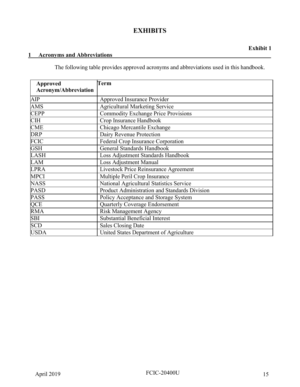# **EXHIBITS**

# <span id="page-19-1"></span><span id="page-19-0"></span>**1 Acronyms and Abbreviations\_\_\_\_\_\_\_\_\_\_\_\_\_\_\_\_\_\_\_\_\_\_\_\_\_\_\_\_\_\_\_\_\_\_\_\_\_\_\_\_\_\_\_\_\_\_\_\_\_\_\_\_\_\_**

The following table provides approved acronyms and abbreviations used in this handbook.

| <b>Approved</b>      | Term                                          |
|----------------------|-----------------------------------------------|
| Acronym/Abbreviation |                                               |
| AIP                  | Approved Insurance Provider                   |
| <b>AMS</b>           | <b>Agricultural Marketing Service</b>         |
| <b>CEPP</b>          | <b>Commodity Exchange Price Provisions</b>    |
| <b>CIH</b>           | Crop Insurance Handbook                       |
| <b>CME</b>           | Chicago Mercantile Exchange                   |
| <b>DRP</b>           | Dairy Revenue Protection                      |
| <b>FCIC</b>          | <b>Federal Crop Insurance Corporation</b>     |
| <b>GSH</b>           | <b>General Standards Handbook</b>             |
| <b>LASH</b>          | Loss Adjustment Standards Handbook            |
| LAM                  | <b>Loss Adjustment Manual</b>                 |
| <b>LPRA</b>          | Livestock Price Reinsurance Agreement         |
| <b>MPCI</b>          | Multiple Peril Crop Insurance                 |
| <b>NASS</b>          | National Agricultural Statistics Service      |
| <b>PASD</b>          | Product Administration and Standards Division |
| <b>PASS</b>          | Policy Acceptance and Storage System          |
| QCE                  | Quarterly Coverage Endorsement                |
| <b>RMA</b>           | <b>Risk Management Agency</b>                 |
| <b>SBI</b>           | <b>Substantial Beneficial Interest</b>        |
| <b>SCD</b>           | <b>Sales Closing Date</b>                     |
| <b>USDA</b>          | United States Department of Agriculture       |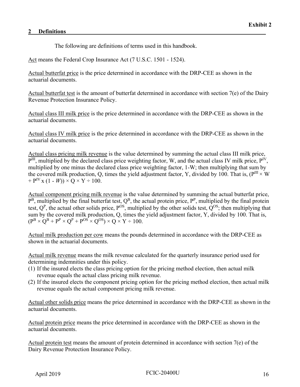The following are definitions of terms used in this handbook.

<span id="page-20-0"></span>Act means the Federal Crop Insurance Act (7 U.S.C. 1501 - 1524).

Actual butterfat price is the price determined in accordance with the DRP-CEE as shown in the actuarial documents.

Actual butterfat test is the amount of butterfat determined in accordance with section 7(e) of the Dairy Revenue Protection Insurance Policy.

Actual class III milk price is the price determined in accordance with the DRP-CEE as shown in the actuarial documents.

Actual class IV milk price is the price determined in accordance with the DRP-CEE as shown in the actuarial documents.

Actual class pricing milk revenue is the value determined by summing the actual class III milk price,  $P^{III}$ , multiplied by the declared class price weighting factor, W, and the actual class IV milk price,  $P^{IV}$ , multiplied by one minus the declared class price weighting factor, 1-W; then multiplying that sum by the covered milk production, Q, times the yield adjustment factor, Y, divided by 100. That is, ( $P^{III} \times W$ )  $+ P^{IV}$  x (1 - *W*))  $\times$  Q  $\times$  Y  $\div$  100.

Actual component pricing milk revenue is the value determined by summing the actual butterfat price,  $P^B$ , multiplied by the final butterfat test,  $Q^B$ , the actual protein price,  $P^P$ , multiplied by the final protein test,  $Q^P$ , the actual other solids price,  $P^{OS}$ , multiplied by the other solids test,  $Q^{OS}$ ; then multiplying that sum by the covered milk production, Q, times the yield adjustment factor, Y, divided by 100. That is,  $(P^B \times Q^B + P^P \times Q^P + P^{OS} \times Q^{OS}) \times Q \times Y \div 100.$ 

Actual milk production per cow means the pounds determined in accordance with the DRP-CEE as shown in the actuarial documents.

Actual milk revenue means the milk revenue calculated for the quarterly insurance period used for determining indemnities under this policy.

- (1) If the insured elects the class pricing option for the pricing method election, then actual milk revenue equals the actual class pricing milk revenue.
- (2) If the insured elects the component pricing option for the pricing method election, then actual milk revenue equals the actual component pricing milk revenue.

Actual other solids price means the price determined in accordance with the DRP-CEE as shown in the actuarial documents.

Actual protein price means the price determined in accordance with the DRP-CEE as shown in the actuarial documents.

Actual protein test means the amount of protein determined in accordance with section 7(e) of the Dairy Revenue Protection Insurance Policy.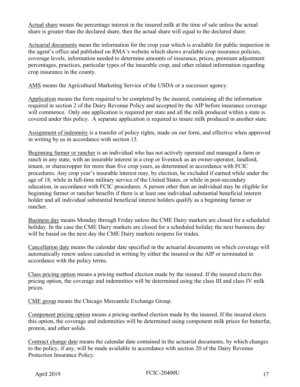Actual share means the percentage interest in the insured milk at the time of sale unless the actual share is greater than the declared share, then the actual share will equal to the declared share.

Actuarial documents mean the information for the crop year which is available for public inspection in the agent's office and published on RMA's website which shows available crop insurance policies, coverage levels, information needed to determine amounts of insurance, prices, premium adjustment percentages, practices, particular types of the insurable crop, and other related information regarding crop insurance in the county.

AMS means the Agricultural Marketing Service of the USDA or a successor agency.

Application means the form required to be completed by the insured, containing all the information required in section 2 of the Dairy Revenue Policy and accepted by the AIP before insurance coverage will commence. Only one application is required per state and all the milk produced within a state is covered under this policy. A separate application is required to insure milk produced in another state.

Assignment of indemnity is a transfer of policy rights, made on our form, and effective when approved in writing by us in accordance with section 13.

Beginning farmer or rancher is an individual who has not actively operated and managed a farm or ranch in any state, with an insurable interest in a crop or livestock as an owner-operator, landlord, tenant, or sharecropper for more than five crop years, as determined in accordance with FCIC procedures. Any crop year's insurable interest may, by election, be excluded if earned while under the age of 18, while in full-time military service of the United States, or while in post-secondary education, in accordance with FCIC procedures. A person other than an individual may be eligible for beginning farmer or rancher benefits if there is at least one individual substantial beneficial interest holder and all individual substantial beneficial interest holders qualify as a beginning farmer or rancher.

Business day means Monday through Friday unless the CME Dairy markets are closed for a scheduled holiday. In the case the CME Dairy markets are closed for a scheduled holiday the next business day will be based on the next day the CME Dairy markets reopens for trades.

Cancellation date means the calendar date specified in the actuarial documents on which coverage will automatically renew unless canceled in writing by either the insured or the AIP or terminated in accordance with the policy terms.

Class pricing option means a pricing method election made by the insured. If the insured elects this pricing option, the coverage and indemnities will be determined using the class III and class IV milk prices.

CME group means the Chicago Mercantile Exchange Group.

Component pricing option means a pricing method election made by the insured. If the insured elects this option, the coverage and indemnities will be determined using component milk prices for butterfat, protein, and other solids.

Contract change date means the calendar date contained in the actuarial documents, by which changes to the policy, if any, will be made available in accordance with section 20 of the Dairy Revenue Protection Insurance Policy.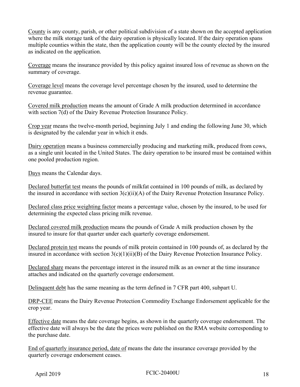County is any county, parish, or other political subdivision of a state shown on the accepted application where the milk storage tank of the dairy operation is physically located. If the dairy operation spans multiple counties within the state, then the application county will be the county elected by the insured as indicated on the application.

Coverage means the insurance provided by this policy against insured loss of revenue as shown on the summary of coverage.

Coverage level means the coverage level percentage chosen by the insured, used to determine the revenue guarantee.

Covered milk production means the amount of Grade A milk production determined in accordance with section 7(d) of the Dairy Revenue Protection Insurance Policy.

Crop year means the twelve-month period, beginning July 1 and ending the following June 30, which is designated by the calendar year in which it ends.

Dairy operation means a business commercially producing and marketing milk, produced from cows, as a single unit located in the United States. The dairy operation to be insured must be contained within one pooled production region.

Days means the Calendar days.

Declared butterfat test means the pounds of milkfat contained in 100 pounds of milk, as declared by the insured in accordance with section  $3(c)(ii)(A)$  of the Dairy Revenue Protection Insurance Policy.

Declared class price weighting factor means a percentage value, chosen by the insured, to be used for determining the expected class pricing milk revenue.

Declared covered milk production means the pounds of Grade A milk production chosen by the insured to insure for that quarter under each quarterly coverage endorsement.

Declared protein test means the pounds of milk protein contained in 100 pounds of, as declared by the insured in accordance with section 3(c)(1)(ii)(B) of the Dairy Revenue Protection Insurance Policy.

Declared share means the percentage interest in the insured milk as an owner at the time insurance attaches and indicated on the quarterly coverage endorsement.

Delinquent debt has the same meaning as the term defined in 7 CFR part 400, subpart U.

DRP-CEE means the Dairy Revenue Protection Commodity Exchange Endorsement applicable for the crop year.

Effective date means the date coverage begins, as shown in the quarterly coverage endorsement. The effective date will always be the date the prices were published on the RMA website corresponding to the purchase date.

End of quarterly insurance period, date of means the date the insurance coverage provided by the quarterly coverage endorsement ceases.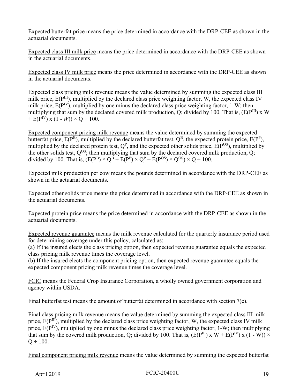Expected butterfat price means the price determined in accordance with the DRP-CEE as shown in the actuarial documents.

Expected class III milk price means the price determined in accordance with the DRP-CEE as shown in the actuarial documents.

Expected class IV milk price means the price determined in accordance with the DRP-CEE as shown in the actuarial documents.

Expected class pricing milk revenue means the value determined by summing the expected class III milk price,  $E(P^{III})$ , multiplied by the declared class price weighting factor, W, the expected class IV milk price,  $E(P<sup>IV</sup>)$ , multiplied by one minus the declared class price weighting factor, 1-W; then multiplying that sum by the declared covered milk production, Q; divided by 100. That is,  $(E(P^{III}) \times W)$ +  $E(P^{IV})$  x (1 - *W*)) × Q ÷ 100.

Expected component pricing milk revenue means the value determined by summing the expected butterfat price,  $E(P^B)$ , multiplied by the declared butterfat test,  $Q^B$ , the expected protein price,  $E(P^P)$ , multiplied by the declared protein test,  $Q^P$ , and the expected other solids price,  $E(P^{OS})$ , multiplied by the other solids test,  $Q^{OS}$ ; then multiplying that sum by the declared covered milk production, Q; divided by 100. That is,  $(E(P^B) \times Q^B + E(P^P) \times Q^P + E(P^{OS}) \times Q^{OS}) \times Q \div 100$ .

Expected milk production per cow means the pounds determined in accordance with the DRP-CEE as shown in the actuarial documents.

Expected other solids price means the price determined in accordance with the DRP-CEE as shown in the actuarial documents.

Expected protein price means the price determined in accordance with the DRP-CEE as shown in the actuarial documents.

Expected revenue guarantee means the milk revenue calculated for the quarterly insurance period used for determining coverage under this policy, calculated as:

(a) If the insured elects the class pricing option, then expected revenue guarantee equals the expected class pricing milk revenue times the coverage level.

(b) If the insured elects the component pricing option, then expected revenue guarantee equals the expected component pricing milk revenue times the coverage level.

FCIC means the Federal Crop Insurance Corporation, a wholly owned government corporation and agency within USDA.

Final butterfat test means the amount of butterfat determined in accordance with section 7(e).

Final class pricing milk revenue means the value determined by summing the expected class III milk price,  $E(P^{III})$ , multiplied by the declared class price weighting factor, W, the expected class IV milk price,  $E(P^{IV})$ , multiplied by one minus the declared class price weighting factor, 1-W; then multiplying that sum by the covered milk production, Q; divided by 100. That is,  $(E(P^{III}) \times W + E(P^{IV}) \times (1 - W)) \times$  $Q \div 100$ .

Final component pricing milk revenue means the value determined by summing the expected butterfat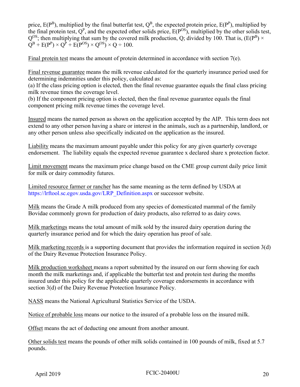price,  $E(P^B)$ , multiplied by the final butterfat test,  $Q^B$ , the expected protein price,  $E(P^P)$ , multiplied by the final protein test,  $Q^P$ , and the expected other solids price,  $E(P^{OS})$ , multiplied by the other solids test,  $Q^{OS}$ ; then multiplying that sum by the covered milk production, O; divided by 100. That is, (E(P<sup>B</sup>)  $\times$  $Q^B + E(P^P) \times Q^P + E(P^{OS}) \times Q^{OS} \times Q \div 100.$ 

Final protein test means the amount of protein determined in accordance with section 7(e).

Final revenue guarantee means the milk revenue calculated for the quarterly insurance period used for determining indemnities under this policy, calculated as:

(a) If the class pricing option is elected, then the final revenue guarantee equals the final class pricing milk revenue times the coverage level.

(b) If the component pricing option is elected, then the final revenue guarantee equals the final component pricing milk revenue times the coverage level.

Insured means the named person as shown on the application accepted by the AIP. This term does not extend to any other person having a share or interest in the animals, such as a partnership, landlord, or any other person unless also specifically indicated on the application as the insured.

Liability means the maximum amount payable under this policy for any given quarterly coverage endorsement. The liability equals the expected revenue guarantee x declared share x protection factor.

Limit movement means the maximum price change based on the CME group current daily price limit for milk or dairy commodity futures.

Limited resource farmer or rancher has the same meaning as the term defined by USDA at [https://lrftool.sc.egov.usda.gov/LRP\\_Definition.aspx](https://lrftool.sc.egov.usda.gov/LRP_Definition.aspx) or successor website.

Milk means the Grade A milk produced from any species of domesticated mammal of the family Bovidae commonly grown for production of dairy products, also referred to as dairy cows.

Milk marketings means the total amount of milk sold by the insured dairy operation during the quarterly insurance period and for which the dairy operation has proof of sale.

Milk marketing records is a supporting document that provides the information required in section 3(d) of the Dairy Revenue Protection Insurance Policy.

Milk production worksheet means a report submitted by the insured on our form showing for each month the milk marketings and, if applicable the butterfat test and protein test during the months insured under this policy for the applicable quarterly coverage endorsements in accordance with section 3(d) of the Dairy Revenue Protection Insurance Policy.

NASS means the National Agricultural Statistics Service of the USDA.

Notice of probable loss means our notice to the insured of a probable loss on the insured milk.

Offset means the act of deducting one amount from another amount.

Other solids test means the pounds of other milk solids contained in 100 pounds of milk, fixed at 5.7 pounds.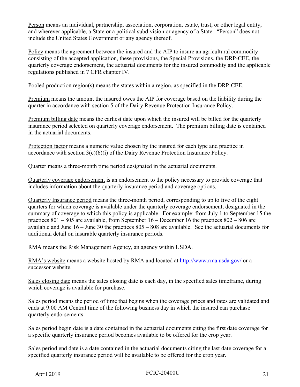Person means an individual, partnership, association, corporation, estate, trust, or other legal entity, and wherever applicable, a State or a political subdivision or agency of a State. "Person" does not include the United States Government or any agency thereof.

Policy means the agreement between the insured and the AIP to insure an agricultural commodity consisting of the accepted application, these provisions, the Special Provisions, the DRP-CEE, the quarterly coverage endorsement, the actuarial documents for the insured commodity and the applicable regulations published in 7 CFR chapter IV.

Pooled production region(s) means the states within a region, as specified in the DRP-CEE.

Premium means the amount the insured owes the AIP for coverage based on the liability during the quarter in accordance with section 5 of the Dairy Revenue Protection Insurance Policy.

Premium billing date means the earliest date upon which the insured will be billed for the quarterly insurance period selected on quarterly coverage endorsement. The premium billing date is contained in the actuarial documents.

Protection factor means a numeric value chosen by the insured for each type and practice in accordance with section  $3(c)(6)(i)$  of the Dairy Revenue Protection Insurance Policy.

Quarter means a three-month time period designated in the actuarial documents.

Quarterly coverage endorsement is an endorsement to the policy necessary to provide coverage that includes information about the quarterly insurance period and coverage options.

Quarterly Insurance period means the three-month period, corresponding to up to five of the eight quarters for which coverage is available under the quarterly coverage endorsement, designated in the summary of coverage to which this policy is applicable. For example: from July 1 to September 15 the practices 801 – 805 are available, from September 16 – December 16 the practices 802 – 806 are available and June 16 – June 30 the practices 805 – 808 are available. See the actuarial documents for additional detail on insurable quarterly insurance periods.

RMA means the Risk Management Agency, an agency within USDA.

RMA's website means a website hosted by RMA and located at [http://www.rma.usda.gov/ o](http://www.rma.usda.gov/)r a successor website.

Sales closing date means the sales closing date is each day, in the specified sales timeframe, during which coverage is available for purchase.

Sales period means the period of time that begins when the coverage prices and rates are validated and ends at 9:00 AM Central time of the following business day in which the insured can purchase quarterly endorsements.

Sales period begin date is a date contained in the actuarial documents citing the first date coverage for a specific quarterly insurance period becomes available to be offered for the crop year.

Sales period end date is a date contained in the actuarial documents citing the last date coverage for a specified quarterly insurance period will be available to be offered for the crop year.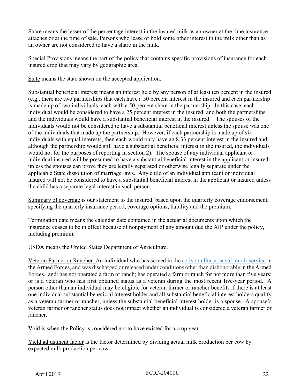Share means the lesser of the percentage interest in the insured milk as an owner at the time insurance attaches or at the time of sale. Persons who lease or hold some other interest in the milk other than as an owner are not considered to have a share in the milk.

Special Provisions means the part of the policy that contains specific provisions of insurance for each insured crop that may vary by geographic area.

State means the state shown on the accepted application.

Substantial beneficial interest means an interest held by any person of at least ten percent in the insured (e.g., there are two partnerships that each have a 50 percent interest in the insured and each partnership is made up of two individuals, each with a 50 percent share in the partnership. In this case, each individual would be considered to have a 25 percent interest in the insured, and both the partnerships and the individuals would have a substantial beneficial interest in the insured. The spouses of the individuals would not be considered to have a substantial beneficial interest unless the spouse was one of the individuals that made up the partnership. However, if each partnership is made up of six individuals with equal interests, then each would only have an 8.33 percent interest in the insured and although the partnership would still have a substantial beneficial interest in the insured, the individuals would not for the purposes of reporting in section 2). The spouse of any individual applicant or individual insured will be presumed to have a substantial beneficial interest in the applicant or insured unless the spouses can prove they are legally separated or otherwise legally separate under the applicable State dissolution of marriage laws. Any child of an individual applicant or individual insured will not be considered to have a substantial beneficial interest in the applicant or insured unless the child has a separate legal interest in such person.

Summary of coverage is our statement to the insured, based upon the quarterly coverage endorsement, specifying the quarterly insurance period, coverage options, liability and the premium.

Termination date means the calendar date contained in the actuarial documents upon which the insurance ceases to be in effect because of nonpayment of any amount due the AIP under the policy, including premium.

USDA means the United States Department of Agriculture.

Veteran Farmer or Rancher An individual who has served in the [active military, naval, or air service](https://www.law.cornell.edu/definitions/uscode.php?width=840&height=800&iframe=true&def_id=38-USC-1994457193-746307971&term_occur=1&term_src=title:38:part:I:chapter:1:section:101) in the Armed Forces, and was discharged or released under conditions other than dishonorable in the Armed Forces, and: has not operated a farm or ranch; has operated a farm or ranch for not more than five years; or is a veteran who has first obtained status as a veteran during the most recent five-year period. A person other than an individual may be eligible for veteran farmer or rancher benefits if there is at least one individual substantial beneficial interest holder and all substantial beneficial interest holders qualify as a veteran farmer or rancher, unless the substantial beneficial interest holder is a spouse. A spouse's veteran farmer or rancher status does not impact whether an individual is considered a veteran farmer or rancher.

Void is when the Policy is considered not to have existed for a crop year.

Yield adjustment factor is the factor determined by dividing actual milk production per cow by expected milk production per cow.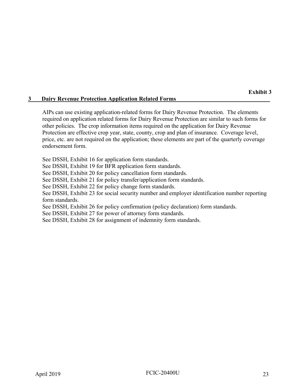#### <span id="page-27-0"></span>**3 Dairy Revenue Protection Application Related Forms\_\_\_\_\_\_\_\_\_\_\_\_\_\_\_\_\_\_\_\_\_\_\_\_\_\_\_\_\_\_\_\_**

AIPs can use existing application-related forms for Dairy Revenue Protection. The elements required on application related forms for Dairy Revenue Protection are similar to such forms for other policies. The crop information items required on the application for Dairy Revenue Protection are effective crop year, state, county, crop and plan of insurance. Coverage level, price, etc. are not required on the application; these elements are part of the quarterly coverage endorsement form.

See DSSH, Exhibit 16 for application form standards.

See DSSH, Exhibit 19 for BFR application form standards.

See DSSH, Exhibit 20 for policy cancellation form standards.

See DSSH, Exhibit 21 for policy transfer/application form standards.

See DSSH, Exhibit 22 for policy change form standards.

See DSSH, Exhibit 23 for social security number and employer identification number reporting form standards.

See DSSH, Exhibit 26 for policy confirmation (policy declaration) form standards.

See DSSH, Exhibit 27 for power of attorney form standards.

See DSSH, Exhibit 28 for assignment of indemnity form standards.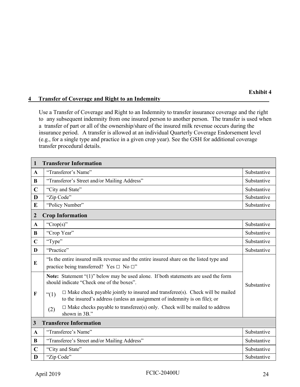#### <span id="page-28-0"></span>**4** Transfer of Coverage and Right to an Indemnity

Use a Transfer of Coverage and Right to an Indemnity to transfer insurance coverage and the right to any subsequent indemnity from one insured person to another person. The transfer is used when a transfer of part or all of the ownership/share of the insured milk revenue occurs during the insurance period. A transfer is allowed at an individual Quarterly Coverage Endorsement level (e.g., for a single type and practice in a given crop year). See the GSH for additional coverage transfer procedural details.

| $\mathbf{1}$                                  | <b>Transferor Information</b>                                                                                                                                                  |             |  |
|-----------------------------------------------|--------------------------------------------------------------------------------------------------------------------------------------------------------------------------------|-------------|--|
| $\mathbf{A}$                                  | "Transferor's Name"                                                                                                                                                            | Substantive |  |
| B                                             | "Transferor's Street and/or Mailing Address"                                                                                                                                   | Substantive |  |
| $\mathbf C$                                   | "City and State"                                                                                                                                                               | Substantive |  |
| D                                             | "Zip Code"                                                                                                                                                                     | Substantive |  |
| E                                             | "Policy Number"                                                                                                                                                                | Substantive |  |
| $\overline{2}$                                | <b>Crop Information</b>                                                                                                                                                        |             |  |
| $\mathbf{A}$                                  | "Crop(s)"                                                                                                                                                                      | Substantive |  |
| B                                             | "Crop Year"                                                                                                                                                                    | Substantive |  |
| $\mathbf C$                                   | "Type"                                                                                                                                                                         | Substantive |  |
| D                                             | "Practice"                                                                                                                                                                     | Substantive |  |
| E                                             | "Is the entire insured milk revenue and the entire insured share on the listed type and<br>practice being transferred? Yes $\Box$ No $\Box$ "                                  |             |  |
|                                               | Note: Statement "(1)" below may be used alone. If both statements are used the form<br>should indicate "Check one of the boxes".                                               | Substantive |  |
| F                                             | $\Box$ Make check payable jointly to insured and transferee(s). Check will be mailed<br>" $(1)$<br>to the insured's address (unless an assignment of indemnity is on file); or |             |  |
|                                               | $\Box$ Make checks payable to transferee(s) only. Check will be mailed to address<br>(2)<br>shown in 3B."                                                                      |             |  |
| <b>Transferee Information</b><br>$\mathbf{3}$ |                                                                                                                                                                                |             |  |
| $\mathbf{A}$                                  | "Transferee's Name"                                                                                                                                                            | Substantive |  |
| B                                             | "Transferee's Street and/or Mailing Address"                                                                                                                                   | Substantive |  |
| $\mathbf C$                                   | "City and State"                                                                                                                                                               | Substantive |  |
| D                                             | "Zip Code"                                                                                                                                                                     | Substantive |  |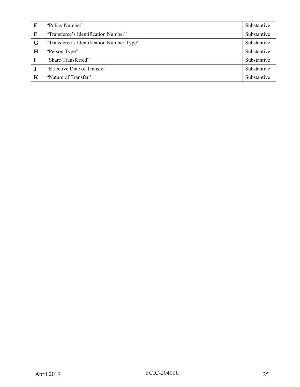| E           | "Policy Number"                           | Substantive |
|-------------|-------------------------------------------|-------------|
| $\mathbf F$ | "Transferee's Identification Number"      | Substantive |
| G           | "Transferee's Identification Number Type" | Substantive |
| Н           | "Person Type"                             | Substantive |
|             | "Share Transferred"                       | Substantive |
| J           | "Effective Date of Transfer"              | Substantive |
| K           | "Nature of Transfer"                      | Substantive |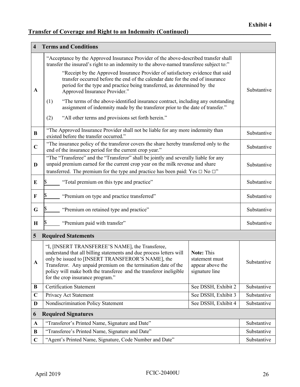# **Transfer of Coverage and Right to an Indemnity (Continued)**

| <b>Terms and Conditions</b><br>$\overline{\mathbf{4}}$ |                                                                                                                                                                                                                                                                                                                                                        |                                                                    |             |
|--------------------------------------------------------|--------------------------------------------------------------------------------------------------------------------------------------------------------------------------------------------------------------------------------------------------------------------------------------------------------------------------------------------------------|--------------------------------------------------------------------|-------------|
|                                                        | "Acceptance by the Approved Insurance Provider of the above-described transfer shall<br>transfer the insured's right to an indemnity to the above-named transferee subject to:"                                                                                                                                                                        |                                                                    |             |
| A                                                      | "Receipt by the Approved Insurance Provider of satisfactory evidence that said<br>transfer occurred before the end of the calendar date for the end of insurance<br>period for the type and practice being transferred, as determined by the<br>Approved Insurance Provider."                                                                          |                                                                    | Substantive |
|                                                        | "The terms of the above-identified insurance contract, including any outstanding<br>(1)<br>assignment of indemnity made by the transferor prior to the date of transfer."                                                                                                                                                                              |                                                                    |             |
|                                                        | "All other terms and provisions set forth herein."<br>(2)                                                                                                                                                                                                                                                                                              |                                                                    |             |
| B                                                      | "The Approved Insurance Provider shall not be liable for any more indemnity than<br>existed before the transfer occurred."                                                                                                                                                                                                                             |                                                                    | Substantive |
| $\mathbf C$                                            | "The insurance policy of the transferor covers the share hereby transferred only to the<br>end of the insurance period for the current crop year."                                                                                                                                                                                                     |                                                                    | Substantive |
| D                                                      | "The "Transferee" and the "Transferor" shall be jointly and severally liable for any<br>unpaid premium earned for the current crop year on the milk revenue and share<br>transferred. The premium for the type and practice has been paid: Yes $\Box$ No $\Box$ "                                                                                      |                                                                    | Substantive |
| E                                                      | "Total premium on this type and practice"                                                                                                                                                                                                                                                                                                              |                                                                    | Substantive |
| F                                                      | "Premium on type and practice transferred"                                                                                                                                                                                                                                                                                                             |                                                                    | Substantive |
| G                                                      | "Premium on retained type and practice"                                                                                                                                                                                                                                                                                                                |                                                                    | Substantive |
| $\bf H$                                                | "Premium paid with transfer"                                                                                                                                                                                                                                                                                                                           |                                                                    | Substantive |
| 5                                                      | <b>Required Statements</b>                                                                                                                                                                                                                                                                                                                             |                                                                    |             |
| A                                                      | "I, [INSERT TRANSFEREE'S NAME], the Transferee,<br>understand that all billing statements and due process letters will<br>only be issued to [INSERT TRANSFEROR'S NAME], the<br>Transferor. Any unpaid premium on the termination date of the<br>policy will make both the transferee and the transferor ineligible<br>for the crop insurance program." | Note: This<br>statement must<br>appear above the<br>signature line | Substantive |
| B                                                      | <b>Certification Statement</b>                                                                                                                                                                                                                                                                                                                         | See DSSH, Exhibit 2                                                | Substantive |
| $\mathbf C$                                            | Privacy Act Statement                                                                                                                                                                                                                                                                                                                                  | See DSSH, Exhibit 3                                                | Substantive |
| D                                                      | Nondiscrimination Policy Statement                                                                                                                                                                                                                                                                                                                     | See DSSH, Exhibit 4                                                | Substantive |
| 6                                                      | <b>Required Signatures</b>                                                                                                                                                                                                                                                                                                                             |                                                                    |             |
| $\mathbf A$                                            | "Transferor's Printed Name, Signature and Date"                                                                                                                                                                                                                                                                                                        |                                                                    | Substantive |
| B                                                      | "Transferee's Printed Name, Signature and Date"                                                                                                                                                                                                                                                                                                        |                                                                    | Substantive |
| $\mathbf C$                                            | "Agent's Printed Name, Signature, Code Number and Date"                                                                                                                                                                                                                                                                                                |                                                                    | Substantive |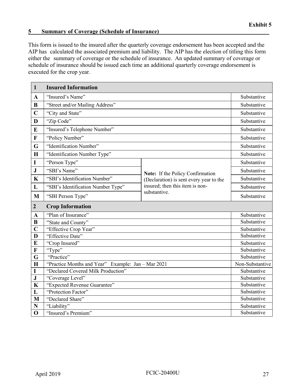#### <span id="page-31-0"></span>**5** Summary of Coverage (Schedule of Insurance)

This form is issued to the insured after the quarterly coverage endorsement has been accepted and the AIP has calculated the associated premium and liability. The AIP has the election of titling this form either the summary of coverage or the schedule of insurance. An updated summary of coverage or schedule of insurance should be issued each time an additional quarterly coverage endorsement is executed for the crop year.

| $\mathbf{1}$              | <b>Insured Information</b>                         |                                                                             |                            |
|---------------------------|----------------------------------------------------|-----------------------------------------------------------------------------|----------------------------|
| $\mathbf{A}$              | "Insured's Name"                                   |                                                                             | Substantive                |
| $\bf{B}$                  | "Street and/or Mailing Address"                    |                                                                             | Substantive                |
| $\mathbf C$               | "City and State"                                   |                                                                             | Substantive                |
| D                         | "Zip Code"                                         |                                                                             | Substantive                |
| E                         | "Insured's Telephone Number"                       |                                                                             | Substantive                |
| $\mathbf{F}$              | "Policy Number"                                    |                                                                             | Substantive                |
| G                         | "Identification Number"                            |                                                                             | Substantive                |
| H                         | "Identification Number Type"                       |                                                                             | Substantive                |
| I                         | "Person Type"                                      |                                                                             | Substantive                |
| $\mathbf{J}$              | "SBI's Name"                                       |                                                                             | Substantive                |
| $\mathbf K$               | "SBI's Identification Number"                      | Note: If the Policy Confirmation<br>(Declaration) is sent every year to the | Substantive                |
| L                         | "SBI's Identification Number Type"                 | insured; then this item is non-                                             | Substantive                |
| M                         | "SBI Person Type"                                  | substantive.                                                                | Substantive                |
|                           |                                                    |                                                                             |                            |
| $\overline{2}$            | <b>Crop Information</b>                            |                                                                             |                            |
| A                         | "Plan of Insurance"                                |                                                                             | Substantive                |
| $\bf{B}$                  | "State and County"                                 |                                                                             | Substantive                |
| $\overline{C}$            | "Effective Crop Year"                              |                                                                             | Substantive                |
| D                         | "Effective Date"                                   |                                                                             | Substantive                |
| E                         | "Crop Insured"                                     |                                                                             | Substantive                |
| $\boldsymbol{\mathrm{F}}$ | "Type"                                             |                                                                             | Substantive                |
| G                         | "Practice"                                         |                                                                             | Substantive                |
| $\mathbf H$               | "Practice Months and Year" Example: Jan - Mar 2021 |                                                                             | Non-Substantive            |
| I                         | "Declared Covered Milk Production"                 |                                                                             | Substantive                |
| ${\bf J}$                 | "Coverage Level"                                   |                                                                             | Substantive                |
| $\mathbf K$               | "Expected Revenue Guarantee"                       |                                                                             | Substantive                |
| L                         | "Protection Factor"                                |                                                                             | Substantive                |
| M                         | "Declared Share"                                   |                                                                             | Substantive                |
| N                         | "Liability"<br>"Insured's Premium"                 |                                                                             | Substantive<br>Substantive |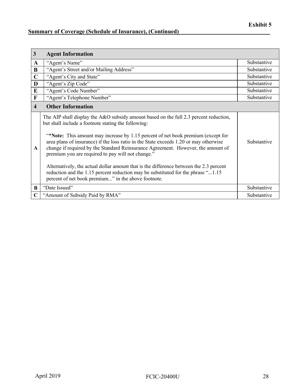# **<u>Summary of Coverage (Schedule of Insurance), (Continued)</u>**

| $\mathbf{3}$            | <b>Agent Information</b>                                                                                                                                                                                                                                                                                                                                                                                                                                                                                                                                                                                                                                                                                |             |
|-------------------------|---------------------------------------------------------------------------------------------------------------------------------------------------------------------------------------------------------------------------------------------------------------------------------------------------------------------------------------------------------------------------------------------------------------------------------------------------------------------------------------------------------------------------------------------------------------------------------------------------------------------------------------------------------------------------------------------------------|-------------|
| A                       | "Agent's Name"                                                                                                                                                                                                                                                                                                                                                                                                                                                                                                                                                                                                                                                                                          | Substantive |
| B                       | "Agent's Street and/or Mailing Address"                                                                                                                                                                                                                                                                                                                                                                                                                                                                                                                                                                                                                                                                 | Substantive |
| $\mathbf C$             | "Agent's City and State"                                                                                                                                                                                                                                                                                                                                                                                                                                                                                                                                                                                                                                                                                | Substantive |
| D                       | "Agent's Zip Code"                                                                                                                                                                                                                                                                                                                                                                                                                                                                                                                                                                                                                                                                                      | Substantive |
| E                       | "Agent's Code Number"                                                                                                                                                                                                                                                                                                                                                                                                                                                                                                                                                                                                                                                                                   | Substantive |
| $\mathbf F$             | "Agent's Telephone Number"                                                                                                                                                                                                                                                                                                                                                                                                                                                                                                                                                                                                                                                                              | Substantive |
| $\overline{\mathbf{4}}$ | <b>Other Information</b>                                                                                                                                                                                                                                                                                                                                                                                                                                                                                                                                                                                                                                                                                |             |
| $\mathbf{A}$            | The AIP shall display the A&O subsidy amount based on the full 2.3 percent reduction,<br>but shall include a footnote stating the following:<br>"*Note: This amount may increase by 1.15 percent of net book premium (except for<br>area plans of insurance) if the loss ratio in the State exceeds 1.20 or may otherwise<br>change if required by the Standard Reinsurance Agreement. However, the amount of<br>premium you are required to pay will not change."<br>Alternatively, the actual dollar amount that is the difference between the 2.3 percent<br>reduction and the 1.15 percent reduction may be substituted for the phrase "1.15<br>percent of net book premium" in the above footnote. | Substantive |
| $\bf{B}$                | "Date Issued"                                                                                                                                                                                                                                                                                                                                                                                                                                                                                                                                                                                                                                                                                           | Substantive |
|                         | "Amount of Subsidy Paid by RMA"                                                                                                                                                                                                                                                                                                                                                                                                                                                                                                                                                                                                                                                                         | Substantive |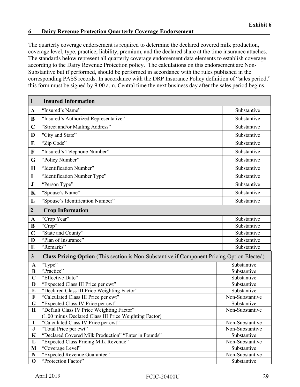#### <span id="page-33-0"></span>**6 Dairy Revenue Protection Quarterly Coverage Endorsement\_\_\_\_\_\_\_\_\_\_\_\_\_\_\_\_\_\_\_\_\_\_\_\_\_\_**

The quarterly coverage endorsement is required to determine the declared covered milk production, coverage level, type, practice, liability, premium, and the declared share at the time insurance attaches. The standards below represent all quarterly coverage endorsement data elements to establish coverage according to the Dairy Revenue Protection policy. The calculations on this endorsement are Non-Substantive but if performed, should be performed in accordance with the rules published in the corresponding PASS records. In accordance with the DRP Insurance Policy definition of "sales period," this form must be signed by 9:00 a.m. Central time the next business day after the sales period begins.

| $\mathbf{1}$     | <b>Insured Information</b>                                                                        |                            |
|------------------|---------------------------------------------------------------------------------------------------|----------------------------|
| $\mathbf{A}$     | "Insured's Name"                                                                                  | Substantive                |
| B                | "Insured's Authorized Representative"                                                             | Substantive                |
| $\mathbf C$      | "Street and/or Mailing Address"                                                                   | Substantive                |
| D                | "City and State"                                                                                  | Substantive                |
| E                | "Zip Code"                                                                                        | Substantive                |
| $\mathbf F$      | "Insured's Telephone Number"                                                                      | Substantive                |
| G                | "Policy Number"                                                                                   | Substantive                |
| $\mathbf H$      | "Identification Number"                                                                           | Substantive                |
| $\mathbf I$      | "Identification Number Type"                                                                      | Substantive                |
| ${\bf J}$        | "Person Type"                                                                                     | Substantive                |
| $\mathbf K$      | "Spouse's Name"                                                                                   | Substantive                |
| L                | "Spouse's Identification Number"                                                                  | Substantive                |
| $\boldsymbol{2}$ | <b>Crop Information</b>                                                                           |                            |
|                  |                                                                                                   |                            |
| $\mathbf A$      | "Crop Year"<br>"Crop"                                                                             | Substantive<br>Substantive |
| B                |                                                                                                   |                            |
| $\overline{C}$   | "State and County"                                                                                | Substantive                |
| D                | "Plan of Insurance"                                                                               | Substantive                |
| $\bf{E}$         | "Remarks"                                                                                         | Substantive                |
| $\mathbf{3}$     | <b>Class Pricing Option</b> (This section is Non-Substantive if Component Pricing Option Elected) |                            |
| $\mathbf{A}$     | "Type"                                                                                            | Substantive                |
| $\bf{B}$         | "Practice"                                                                                        | Substantive                |
| $\mathbf C$      | "Effective Date"                                                                                  | Substantive                |
| D                | "Expected Class III Price per cwt"                                                                | Substantive                |
| E                | "Declared Class III Price Weighting Factor"                                                       | Substantive                |
| F                | "Calculated Class III Price per cwt"                                                              | Non-Substantive            |
| G                | "Expected Class IV Price per cwt"                                                                 | Substantive                |
| $\mathbf H$      | "Default Class IV Price Weighting Factor"                                                         | Non-Substantive            |
|                  | (1.00 minus Declared Class III Price Weighting Factor)                                            |                            |
| $\mathbf I$      | "Calculated Class IV Price per cwt"                                                               | Non-Substantive            |
| $\bf J$          | "Total Price per cwt"                                                                             | Non-Substantive            |
| $\mathbf K$      | "Declared Covered Milk Production" "Enter in Pounds"                                              | Substantive                |
| $\mathbf{L}$     | "Expected Class Pricing Milk Revenue"                                                             | Non-Substantive            |
| M                | "Coverage Level"                                                                                  | Substantive                |
| ${\bf N}$        | "Expected Revenue Guarantee"                                                                      | Non-Substantive            |
| $\mathbf 0$      | "Protection Factor"                                                                               | Substantive                |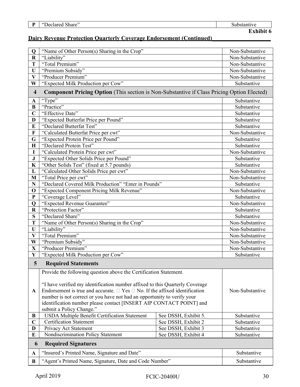| D<br> | $\sim$ 1<br>"Declare<br>$\bullet\bullet$<br>share' | ∽<br>ive<br>,, |
|-------|----------------------------------------------------|----------------|
|       |                                                    | -              |

# **Dairy Revenue Protection Quarterly Coverage Endorsement (Continued)\_\_\_\_\_\_\_\_\_\_\_\_\_\_\_\_\_\_\_\_**

| $\mathbf Q$             | "Name of Other Person(s) Sharing in the Crop"                                                                                                                                                                                                                                                                                                                                                                   |                      | Non-Substantive |
|-------------------------|-----------------------------------------------------------------------------------------------------------------------------------------------------------------------------------------------------------------------------------------------------------------------------------------------------------------------------------------------------------------------------------------------------------------|----------------------|-----------------|
| $\mathbf R$             | "Liability"                                                                                                                                                                                                                                                                                                                                                                                                     |                      | Non-Substantive |
| T                       | "Total Premium"                                                                                                                                                                                                                                                                                                                                                                                                 |                      | Non-Substantive |
| U                       | "Premium Subsidy"                                                                                                                                                                                                                                                                                                                                                                                               |                      | Non-Substantive |
| $\overline{\mathbf{V}}$ | "Producer Premium"                                                                                                                                                                                                                                                                                                                                                                                              |                      | Non-Substantive |
| W                       | "Expected Milk Production per Cow"                                                                                                                                                                                                                                                                                                                                                                              |                      | Substantive     |
| $\overline{\mathbf{4}}$ | <b>Component Pricing Option</b> (This section is Non-Substantive if Class Pricing Option Elected)                                                                                                                                                                                                                                                                                                               |                      |                 |
| A                       | "Type"                                                                                                                                                                                                                                                                                                                                                                                                          |                      | Substantive     |
| $\bf{B}$                | "Practice"                                                                                                                                                                                                                                                                                                                                                                                                      |                      | Substantive     |
| $\mathbf C$             | "Effective Date"                                                                                                                                                                                                                                                                                                                                                                                                |                      | Substantive     |
| D                       | "Expected Butterfat Price per Pound"                                                                                                                                                                                                                                                                                                                                                                            |                      | Substantive     |
| E                       | "Declared Butterfat Test"                                                                                                                                                                                                                                                                                                                                                                                       |                      | Substantive     |
| F                       | "Calculated Butterfat Price per cwt"                                                                                                                                                                                                                                                                                                                                                                            |                      | Non-Substantive |
| G                       | "Expected Protein Price per Pound"                                                                                                                                                                                                                                                                                                                                                                              |                      | Substantive     |
| $\mathbf H$             | "Declared Protein Test"                                                                                                                                                                                                                                                                                                                                                                                         |                      | Substantive     |
| I                       | "Calculated Protein Price per cwt"                                                                                                                                                                                                                                                                                                                                                                              |                      | Non-Substantive |
| ${\bf J}$               | "Expected Other Solids Price per Pound"                                                                                                                                                                                                                                                                                                                                                                         |                      | Substantive     |
| $\mathbf K$             | "Other Solids Test" (fixed at 5.7 pounds)                                                                                                                                                                                                                                                                                                                                                                       |                      | Substantive     |
| L                       | "Calculated Other Solids Price per cwt"                                                                                                                                                                                                                                                                                                                                                                         |                      | Non-Substantive |
| M                       | "Total Price per cwt"                                                                                                                                                                                                                                                                                                                                                                                           |                      | Non-Substantive |
| $\mathbf N$             | "Declared Covered Milk Production" "Enter in Pounds"                                                                                                                                                                                                                                                                                                                                                            |                      | Substantive     |
| $\mathbf 0$             | "Expected Component Pricing Milk Revenue"                                                                                                                                                                                                                                                                                                                                                                       |                      | Non-Substantive |
| $\mathbf{P}$            | "Coverage Level"                                                                                                                                                                                                                                                                                                                                                                                                |                      | Substantive     |
| Q                       | "Expected Revenue Guarantee"<br>Non-Substantive                                                                                                                                                                                                                                                                                                                                                                 |                      |                 |
| $\mathbf R$             | "Protection Factor"<br>Substantive                                                                                                                                                                                                                                                                                                                                                                              |                      |                 |
| S                       | "Declared Share"<br>Substantive                                                                                                                                                                                                                                                                                                                                                                                 |                      |                 |
| T                       | "Name of Other Person(s) Sharing in the Crop"<br>Non-Substantive                                                                                                                                                                                                                                                                                                                                                |                      |                 |
| $\mathbf U$             | "Liability"<br>Non-Substantive                                                                                                                                                                                                                                                                                                                                                                                  |                      |                 |
| $\overline{\mathbf{V}}$ | "Total Premium"                                                                                                                                                                                                                                                                                                                                                                                                 |                      | Non-Substantive |
| W                       | "Premium Subsidy"                                                                                                                                                                                                                                                                                                                                                                                               |                      | Non-Substantive |
| $\mathbf{X}$            | "Producer Premium"<br>Non-Substantive                                                                                                                                                                                                                                                                                                                                                                           |                      |                 |
| $\mathbf{Y}$            | "Expected Milk Production per Cow"                                                                                                                                                                                                                                                                                                                                                                              |                      | Substantive     |
| 5                       | <b>Required Statements</b>                                                                                                                                                                                                                                                                                                                                                                                      |                      |                 |
| A                       | Provide the following question above the Certification Statement.<br>"I have verified my identification number affixed to this Quarterly Coverage<br>Endorsement is true and accurate. $\Box$ Yes $\Box$ No. If the affixed identification<br>Non-Substantive<br>number is not correct or you have not had an opportunity to verify your<br>identification number please contact [INSERT AIP CONTACT POINT] and |                      |                 |
|                         | submit a Policy Change."                                                                                                                                                                                                                                                                                                                                                                                        |                      |                 |
| B                       | <b>USDA Multiple Benefit Certification Statement</b>                                                                                                                                                                                                                                                                                                                                                            | See DSSH, Exhibit 5. | Substantive     |
| $\mathbf C$             | <b>Certification Statement</b>                                                                                                                                                                                                                                                                                                                                                                                  | See DSSH, Exhibit 2  | Substantive     |
| D                       | Privacy Act Statement                                                                                                                                                                                                                                                                                                                                                                                           | See DSSH, Exhibit 3  | Substantive     |
| E                       | Nondiscrimination Policy Statement                                                                                                                                                                                                                                                                                                                                                                              | See DSSH, Exhibit 4  | Substantive     |
| 6                       | <b>Required Signatures</b>                                                                                                                                                                                                                                                                                                                                                                                      |                      |                 |
| $\mathbf{A}$            | "Insured's Printed Name, Signature and Date"                                                                                                                                                                                                                                                                                                                                                                    |                      | Substantive     |
| B                       | "Agent's Printed Name, Signature, Date and Code Number"                                                                                                                                                                                                                                                                                                                                                         |                      | Substantive     |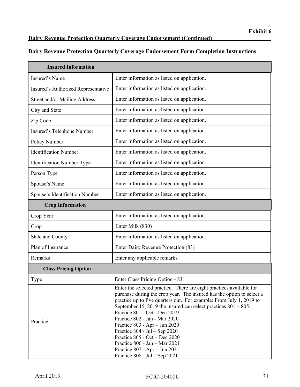## **Dairy Revenue Protection Quarterly Coverage Endorsement (Continued)\_\_\_\_\_\_\_\_\_\_\_\_\_\_\_\_\_\_\_\_**

## **Dairy Revenue Protection Quarterly Coverage Endorsement Form Completion Instructions**

| <b>Insured Information</b>          |                                                                                                                                                                                                                                                                                                                                                                                                                                                                                                                                                                                        |  |
|-------------------------------------|----------------------------------------------------------------------------------------------------------------------------------------------------------------------------------------------------------------------------------------------------------------------------------------------------------------------------------------------------------------------------------------------------------------------------------------------------------------------------------------------------------------------------------------------------------------------------------------|--|
| Insured's Name                      | Enter information as listed on application.                                                                                                                                                                                                                                                                                                                                                                                                                                                                                                                                            |  |
| Insured's Authorized Representative | Enter information as listed on application.                                                                                                                                                                                                                                                                                                                                                                                                                                                                                                                                            |  |
| Street and/or Mailing Address       | Enter information as listed on application.                                                                                                                                                                                                                                                                                                                                                                                                                                                                                                                                            |  |
| City and State                      | Enter information as listed on application.                                                                                                                                                                                                                                                                                                                                                                                                                                                                                                                                            |  |
| Zip Code                            | Enter information as listed on application.                                                                                                                                                                                                                                                                                                                                                                                                                                                                                                                                            |  |
| Insured's Telephone Number          | Enter information as listed on application.                                                                                                                                                                                                                                                                                                                                                                                                                                                                                                                                            |  |
| Policy Number                       | Enter information as listed on application.                                                                                                                                                                                                                                                                                                                                                                                                                                                                                                                                            |  |
| <b>Identification Number</b>        | Enter information as listed on application.                                                                                                                                                                                                                                                                                                                                                                                                                                                                                                                                            |  |
| Identification Number Type          | Enter information as listed on application.                                                                                                                                                                                                                                                                                                                                                                                                                                                                                                                                            |  |
| Person Type                         | Enter information as listed on application.                                                                                                                                                                                                                                                                                                                                                                                                                                                                                                                                            |  |
| Spouse's Name                       | Enter information as listed on application.                                                                                                                                                                                                                                                                                                                                                                                                                                                                                                                                            |  |
| Spouse's Identification Number      | Enter information as listed on application.                                                                                                                                                                                                                                                                                                                                                                                                                                                                                                                                            |  |
| <b>Crop Information</b>             |                                                                                                                                                                                                                                                                                                                                                                                                                                                                                                                                                                                        |  |
| Crop Year                           | Enter information as listed on application.                                                                                                                                                                                                                                                                                                                                                                                                                                                                                                                                            |  |
| Crop                                | Enter Milk (830)                                                                                                                                                                                                                                                                                                                                                                                                                                                                                                                                                                       |  |
| State and County                    | Enter information as listed on application.                                                                                                                                                                                                                                                                                                                                                                                                                                                                                                                                            |  |
| Plan of Insurance                   | Enter Dairy Revenue Protection (83)                                                                                                                                                                                                                                                                                                                                                                                                                                                                                                                                                    |  |
| Remarks                             | Enter any applicable remarks.                                                                                                                                                                                                                                                                                                                                                                                                                                                                                                                                                          |  |
| <b>Class Pricing Option</b>         |                                                                                                                                                                                                                                                                                                                                                                                                                                                                                                                                                                                        |  |
| Type                                | Enter Class Pricing Option - 831                                                                                                                                                                                                                                                                                                                                                                                                                                                                                                                                                       |  |
| Practice                            | Enter the selected practice. There are eight practices available for<br>purchase during the crop year. The insured has the option to select a<br>practice up to five quarters out. For example: From July 1, 2019 to<br>September 15, 2019 the insured can select practices $801 - 805$ .<br>Practice 801 - Oct - Dec 2019<br>Practice 802 - Jan - Mar 2020<br>Practice 803 - Apr - Jun 2020<br>Practice $804$ - Jul – Sep 2020<br>Practice 805 - Oct - Dec 2020<br>Practice 806 - Jan - Mar 2021<br>Practice $807 - Apr - Jun 2021$<br>Practice $808 - \text{Jul} - \text{Sep } 2021$ |  |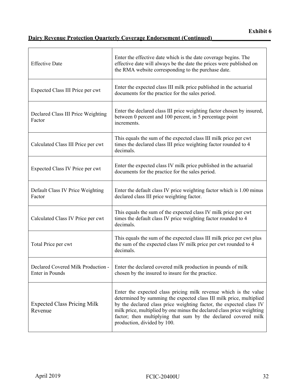# **Dairy Revenue Protection Ouarterly Coverage Endorsement (Continued)**

| <b>Effective Date</b>                         | Enter the effective date which is the date coverage begins. The<br>effective date will always be the date the prices were published on<br>the RMA website corresponding to the purchase date.                                                                                                                                                                                             |
|-----------------------------------------------|-------------------------------------------------------------------------------------------------------------------------------------------------------------------------------------------------------------------------------------------------------------------------------------------------------------------------------------------------------------------------------------------|
| Expected Class III Price per cwt              | Enter the expected class III milk price published in the actuarial<br>documents for the practice for the sales period.                                                                                                                                                                                                                                                                    |
| Declared Class III Price Weighting<br>Factor  | Enter the declared class III price weighting factor chosen by insured,<br>between 0 percent and 100 percent, in 5 percentage point<br>increments.                                                                                                                                                                                                                                         |
| Calculated Class III Price per cwt            | This equals the sum of the expected class III milk price per cwt<br>times the declared class III price weighting factor rounded to 4<br>decimals.                                                                                                                                                                                                                                         |
| Expected Class IV Price per cwt               | Enter the expected class IV milk price published in the actuarial<br>documents for the practice for the sales period.                                                                                                                                                                                                                                                                     |
| Default Class IV Price Weighting<br>Factor    | Enter the default class IV price weighting factor which is 1.00 minus<br>declared class III price weighting factor.                                                                                                                                                                                                                                                                       |
| Calculated Class IV Price per cwt             | This equals the sum of the expected class IV milk price per cwt<br>times the default class IV price weighting factor rounded to 4<br>decimals.                                                                                                                                                                                                                                            |
| Total Price per cwt                           | This equals the sum of the expected class III milk price per cwt plus<br>the sum of the expected class IV milk price per cwt rounded to 4<br>decimals.                                                                                                                                                                                                                                    |
| <b>Enter</b> in Pounds                        | Declared Covered Milk Production -   Enter the declared covered milk production in pounds of milk<br>chosen by the insured to insure for the practice.                                                                                                                                                                                                                                    |
| <b>Expected Class Pricing Milk</b><br>Revenue | Enter the expected class pricing milk revenue which is the value<br>determined by summing the expected class III milk price, multiplied<br>by the declared class price weighting factor, the expected class IV<br>milk price, multiplied by one minus the declared class price weighting<br>factor; then multiplying that sum by the declared covered milk<br>production, divided by 100. |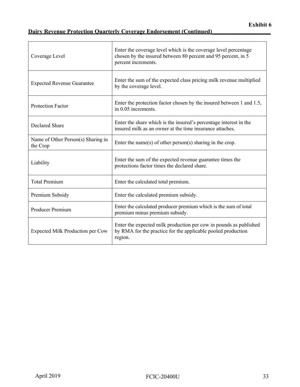# **Dairy Revenue Protection Quarterly Coverage Endorsement (Continued)\_\_\_\_\_\_\_\_\_\_\_\_\_\_\_\_\_\_\_\_**

| Coverage Level                                 | Enter the coverage level which is the coverage level percentage<br>chosen by the insured between 80 percent and 95 percent, in 5<br>percent increments. |
|------------------------------------------------|---------------------------------------------------------------------------------------------------------------------------------------------------------|
| <b>Expected Revenue Guarantee</b>              | Enter the sum of the expected class pricing milk revenue multiplied<br>by the coverage level.                                                           |
| <b>Protection Factor</b>                       | Enter the protection factor chosen by the insured between 1 and 1.5,<br>in 0.05 increments.                                                             |
| <b>Declared Share</b>                          | Enter the share which is the insured's percentage interest in the<br>insured milk as an owner at the time insurance attaches.                           |
| Name of Other Person(s) Sharing in<br>the Crop | Enter the name(s) of other person(s) sharing in the crop.                                                                                               |
| Liability                                      | Enter the sum of the expected revenue guarantee times the<br>protections factor times the declared share.                                               |
| <b>Total Premium</b>                           | Enter the calculated total premium.                                                                                                                     |
| Premium Subsidy                                | Enter the calculated premium subsidy.                                                                                                                   |
| Producer Premium                               | Enter the calculated producer premium which is the sum of total<br>premium minus premium subsidy.                                                       |
| Expected Milk Production per Cow               | Enter the expected milk production per cow in pounds as published<br>by RMA for the practice for the applicable pooled production<br>region.            |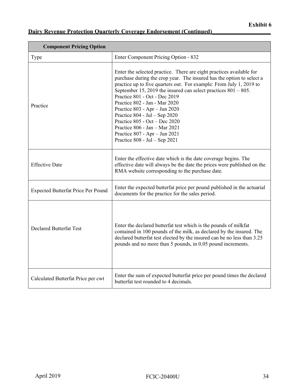# **Dairy Revenue Protection Quarterly Coverage Endorsement (Continued)**

| <b>Component Pricing Option</b>           |                                                                                                                                                                                                                                                                                                                                                                                                                                                                                                                                                                           |  |
|-------------------------------------------|---------------------------------------------------------------------------------------------------------------------------------------------------------------------------------------------------------------------------------------------------------------------------------------------------------------------------------------------------------------------------------------------------------------------------------------------------------------------------------------------------------------------------------------------------------------------------|--|
| Type                                      | Enter Component Pricing Option - 832                                                                                                                                                                                                                                                                                                                                                                                                                                                                                                                                      |  |
| Practice                                  | Enter the selected practice. There are eight practices available for<br>purchase during the crop year. The insured has the option to select a<br>practice up to five quarters out. For example: From July 1, 2019 to<br>September 15, 2019 the insured can select practices $801 - 805$ .<br>Practice 801 - Oct - Dec 2019<br>Practice 802 - Jan - Mar 2020<br>Practice $803 - Apr - Jun 2020$<br>Practice $804 - Jul - Sep$ 2020<br>Practice $805 - Oct - Dec 2020$<br>Practice 806 - Jan - Mar 2021<br>Practice 807 - Apr - Jun 2021<br>Practice $808 - Jul - Sep$ 2021 |  |
| <b>Effective Date</b>                     | Enter the effective date which is the date coverage begins. The<br>effective date will always be the date the prices were published on the<br>RMA website corresponding to the purchase date.                                                                                                                                                                                                                                                                                                                                                                             |  |
| <b>Expected Butterfat Price Per Pound</b> | Enter the expected butterfat price per pound published in the actuarial<br>documents for the practice for the sales period.                                                                                                                                                                                                                                                                                                                                                                                                                                               |  |
| <b>Declared Butterfat Test</b>            | Enter the declared butterfat test which is the pounds of milkfat<br>contained in 100 pounds of the milk, as declared by the insured. The<br>declared butterfat test elected by the insured can be no less than 3.25<br>pounds and no more than 5 pounds, in 0.05 pound increments.                                                                                                                                                                                                                                                                                        |  |
| Calculated Butterfat Price per cwt        | Enter the sum of expected butterfat price per pound times the declared<br>butterfat test rounded to 4 decimals.                                                                                                                                                                                                                                                                                                                                                                                                                                                           |  |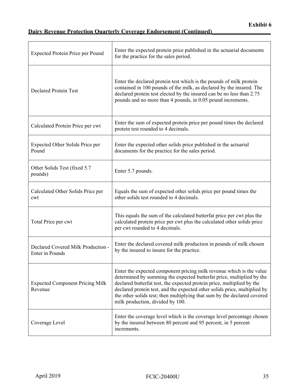# **Dairy Revenue Protection Quarterly Coverage Endorsement (Continued)**

| <b>Expected Protein Price per Pound</b>                      | Enter the expected protein price published in the actuarial documents<br>for the practice for the sales period.                                                                                                                                                                                                                                                                                                      |
|--------------------------------------------------------------|----------------------------------------------------------------------------------------------------------------------------------------------------------------------------------------------------------------------------------------------------------------------------------------------------------------------------------------------------------------------------------------------------------------------|
| <b>Declared Protein Test</b>                                 | Enter the declared protein test which is the pounds of milk protein<br>contained in 100 pounds of the milk, as declared by the insured. The<br>declared protein test elected by the insured can be no less than 2.75<br>pounds and no more than 4 pounds, in 0.05 pound increments.                                                                                                                                  |
| Calculated Protein Price per cwt                             | Enter the sum of expected protein price per pound times the declared<br>protein test rounded to 4 decimals.                                                                                                                                                                                                                                                                                                          |
| Expected Other Solids Price per<br>Pound                     | Enter the expected other solids price published in the actuarial<br>documents for the practice for the sales period.                                                                                                                                                                                                                                                                                                 |
| Other Solids Test (fixed 5.7)<br>pounds)                     | Enter 5.7 pounds.                                                                                                                                                                                                                                                                                                                                                                                                    |
| Calculated Other Solids Price per<br>cwt                     | Equals the sum of expected other solids price per pound times the<br>other solids test rounded to 4 decimals.                                                                                                                                                                                                                                                                                                        |
| Total Price per cwt                                          | This equals the sum of the calculated butterfat price per cwt plus the<br>calculated protein price per cwt plus the calculated other solids price<br>per cwt rounded to 4 decimals.                                                                                                                                                                                                                                  |
| Declared Covered Milk Production -<br><b>Enter</b> in Pounds | Enter the declared covered milk production in pounds of milk chosen<br>by the insured to insure for the practice.                                                                                                                                                                                                                                                                                                    |
| <b>Expected Component Pricing Milk</b><br>Revenue            | Enter the expected component pricing milk revenue which is the value<br>determined by summing the expected butterfat price, multiplied by the<br>declared butterfat test, the expected protein price, multiplied by the<br>declared protein test, and the expected other solids price, multiplied by<br>the other solids test; then multiplying that sum by the declared covered<br>milk production, divided by 100. |
| Coverage Level                                               | Enter the coverage level which is the coverage level percentage chosen<br>by the insured between 80 percent and 95 percent, in 5 percent<br>increments.                                                                                                                                                                                                                                                              |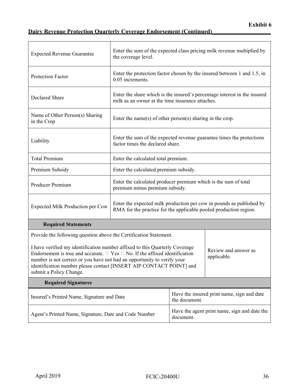# **Dairy Revenue Protection Quarterly Coverage Endorsement (Continued)**

| <b>Expected Revenue Guarantee</b>                                                                                                                                                                                                                                                                                                                                                        | Enter the sum of the expected class pricing milk revenue multiplied by<br>the coverage level.                                             |                                                           |                                                                           |  |
|------------------------------------------------------------------------------------------------------------------------------------------------------------------------------------------------------------------------------------------------------------------------------------------------------------------------------------------------------------------------------------------|-------------------------------------------------------------------------------------------------------------------------------------------|-----------------------------------------------------------|---------------------------------------------------------------------------|--|
| <b>Protection Factor</b>                                                                                                                                                                                                                                                                                                                                                                 | 0.05 increments.                                                                                                                          |                                                           | Enter the protection factor chosen by the insured between 1 and 1.5, in   |  |
| Declared Share                                                                                                                                                                                                                                                                                                                                                                           | milk as an owner at the time insurance attaches.                                                                                          |                                                           | Enter the share which is the insured's percentage interest in the insured |  |
| Name of Other Person(s) Sharing<br>in the Crop                                                                                                                                                                                                                                                                                                                                           | Enter the name(s) of other person(s) sharing in the crop.                                                                                 |                                                           |                                                                           |  |
| Liability                                                                                                                                                                                                                                                                                                                                                                                | Enter the sum of the expected revenue guarantee times the protections<br>factor times the declared share.                                 |                                                           |                                                                           |  |
| <b>Total Premium</b>                                                                                                                                                                                                                                                                                                                                                                     | Enter the calculated total premium.                                                                                                       |                                                           |                                                                           |  |
| Premium Subsidy                                                                                                                                                                                                                                                                                                                                                                          | Enter the calculated premium subsidy.                                                                                                     |                                                           |                                                                           |  |
| Producer Premium                                                                                                                                                                                                                                                                                                                                                                         | Enter the calculated producer premium which is the sum of total<br>premium minus premium subsidy.                                         |                                                           |                                                                           |  |
| Expected Milk Production per Cow                                                                                                                                                                                                                                                                                                                                                         | Enter the expected milk production per cow in pounds as published by<br>RMA for the practice for the applicable pooled production region. |                                                           |                                                                           |  |
| <b>Required Statements</b>                                                                                                                                                                                                                                                                                                                                                               |                                                                                                                                           |                                                           |                                                                           |  |
| Provide the following question above the Certification Statement.                                                                                                                                                                                                                                                                                                                        |                                                                                                                                           |                                                           |                                                                           |  |
| I have verified my identification number affixed to this Quarterly Coverage<br>Review and answer as<br>Endorsement is true and accurate. $\Box$ Yes $\Box$ No. If the affixed identification<br>applicable.<br>number is not correct or you have not had an opportunity to verify your<br>identification number please contact [INSERT AIP CONTACT POINT] and<br>submit a Policy Change. |                                                                                                                                           |                                                           |                                                                           |  |
| <b>Required Signatures</b>                                                                                                                                                                                                                                                                                                                                                               |                                                                                                                                           |                                                           |                                                                           |  |
| Insured's Printed Name, Signature and Date                                                                                                                                                                                                                                                                                                                                               |                                                                                                                                           | the document.                                             | Have the insured print name, sign and date                                |  |
| Agent's Printed Name, Signature, Date and Code Number                                                                                                                                                                                                                                                                                                                                    |                                                                                                                                           | Have the agent print name, sign and date the<br>document. |                                                                           |  |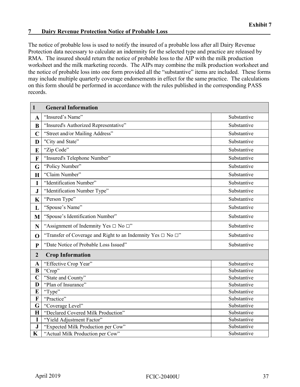#### <span id="page-41-0"></span>**7 Dairy Revenue Protection Notice of Probable Loss\_\_\_\_\_\_\_\_\_\_\_\_\_\_\_\_\_\_\_\_\_\_\_\_\_\_\_\_\_\_\_\_\_\_\_**

The notice of probable loss is used to notify the insured of a probable loss after all Dairy Revenue Protection data necessary to calculate an indemnity for the selected type and practice are released by RMA. The insured should return the notice of probable loss to the AIP with the milk production worksheet and the milk marketing records. The AIPs may combine the milk production worksheet and the notice of probable loss into one form provided all the "substantive" items are included. These forms may include multiple quarterly coverage endorsements in effect for the same practice. The calculations on this form should be performed in accordance with the rules published in the corresponding PASS records.

| $\mathbf{1}$   | <b>General Information</b>                                             |             |
|----------------|------------------------------------------------------------------------|-------------|
| $\mathbf A$    | "Insured's Name"                                                       | Substantive |
| B              | "Insured's Authorized Representative"                                  | Substantive |
| $\overline{C}$ | "Street and/or Mailing Address"                                        | Substantive |
| D              | "City and State"                                                       | Substantive |
| E              | "Zip Code"                                                             | Substantive |
| F              | "Insured's Telephone Number"                                           | Substantive |
| G              | "Policy Number"                                                        | Substantive |
| $\bf H$        | "Claim Number"                                                         | Substantive |
| I              | "Identification Number"                                                | Substantive |
| ${\bf J}$      | "Identification Number Type"                                           | Substantive |
| K              | "Person Type"                                                          | Substantive |
| L              | "Spouse's Name"                                                        | Substantive |
| M              | "Spouse's Identification Number"                                       | Substantive |
| N              | "Assignment of Indemnity Yes $\Box$ No $\Box$ "                        | Substantive |
| $\mathbf 0$    | "Transfer of Coverage and Right to an Indemnity Yes $\Box$ No $\Box$ " | Substantive |
| $\mathbf{P}$   | "Date Notice of Probable Loss Issued"                                  | Substantive |
| $\overline{2}$ | <b>Crop Information</b>                                                |             |
| A              | "Effective Crop Year"                                                  | Substantive |
| $\bf{B}$       | "Crop"                                                                 | Substantive |
| $\overline{C}$ | "State and County"                                                     | Substantive |
| D              | "Plan of Insurance"                                                    | Substantive |
| E              | "Type"                                                                 | Substantive |
| F              | "Practice"                                                             | Substantive |
| G              | "Coverage Level"                                                       | Substantive |
| $\mathbf H$    | "Declared Covered Milk Production"                                     | Substantive |
| I              | "Yield Adjustment Factor"                                              | Substantive |
| ${\bf J}$      | "Expected Milk Production per Cow"                                     | Substantive |
| $\mathbf K$    | "Actual Milk Production per Cow"                                       | Substantive |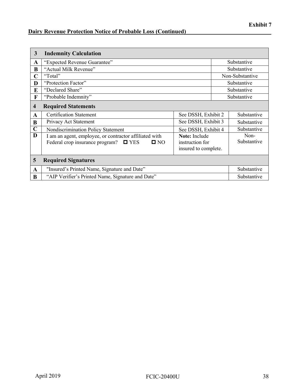# **Dairy Revenue Protection Notice of Probable Loss (Continued)**

| 3           | <b>Indemnity Calculation</b>                                            |                                         |                     |                 |
|-------------|-------------------------------------------------------------------------|-----------------------------------------|---------------------|-----------------|
| A           | "Expected Revenue Guarantee"                                            |                                         |                     | Substantive     |
| B           | "Actual Milk Revenue"                                                   |                                         |                     | Substantive     |
| C           | "Total"                                                                 |                                         |                     | Non-Substantive |
| D           | "Protection Factor"                                                     |                                         |                     | Substantive     |
| E           | "Declared Share"                                                        |                                         |                     | Substantive     |
| F           | "Probable Indemnity"                                                    |                                         |                     | Substantive     |
| 4           | <b>Required Statements</b>                                              |                                         |                     |                 |
| A           | <b>Certification Statement</b>                                          | See DSSH, Exhibit 2                     |                     | Substantive     |
| B           | Privacy Act Statement                                                   | See DSSH, Exhibit 3                     |                     | Substantive     |
| $\mathbf C$ | Nondiscrimination Policy Statement                                      | See DSSH, Exhibit 4                     |                     | Substantive     |
| D           | Note: Include<br>I am an agent, employee, or contractor affiliated with |                                         | Non-<br>Substantive |                 |
|             | Federal crop insurance program?<br>$\Box$ YES<br>$\blacksquare$ NO      | instruction for<br>insured to complete. |                     |                 |
| 5           | <b>Required Signatures</b>                                              |                                         |                     |                 |
| A           | "Insured's Printed Name, Signature and Date"                            |                                         | Substantive         |                 |
| B           | "AIP Verifier's Printed Name, Signature and Date"                       |                                         | Substantive         |                 |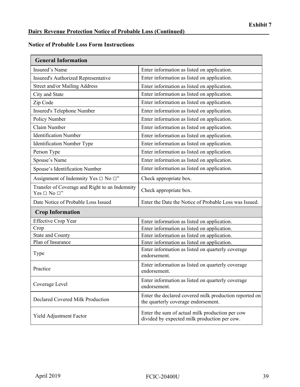#### **Notice of Probable Loss Form Instructions**

| <b>General Information</b>                                               |                                                                                                 |  |
|--------------------------------------------------------------------------|-------------------------------------------------------------------------------------------------|--|
| Insured's Name                                                           | Enter information as listed on application.                                                     |  |
| Insured's Authorized Representative                                      | Enter information as listed on application.                                                     |  |
| Street and/or Mailing Address                                            | Enter information as listed on application.                                                     |  |
| City and State                                                           | Enter information as listed on application.                                                     |  |
| Zip Code                                                                 | Enter information as listed on application.                                                     |  |
| Insured's Telephone Number                                               | Enter information as listed on application.                                                     |  |
| Policy Number                                                            | Enter information as listed on application.                                                     |  |
| Claim Number                                                             | Enter information as listed on application.                                                     |  |
| <b>Identification Number</b>                                             | Enter information as listed on application.                                                     |  |
| <b>Identification Number Type</b>                                        | Enter information as listed on application.                                                     |  |
| Person Type                                                              | Enter information as listed on application.                                                     |  |
| Spouse's Name                                                            | Enter information as listed on application.                                                     |  |
| Spouse's Identification Number                                           | Enter information as listed on application.                                                     |  |
| Assignment of Indemnity Yes $\Box$ No $\Box$ "                           | Check appropriate box.                                                                          |  |
| Transfer of Coverage and Right to an Indemnity<br>Yes $\Box$ No $\Box$ " | Check appropriate box.                                                                          |  |
| Date Notice of Probable Loss Issued                                      | Enter the Date the Notice of Probable Loss was Issued.                                          |  |
| <b>Crop Information</b>                                                  |                                                                                                 |  |
| <b>Effective Crop Year</b>                                               | Enter information as listed on application.                                                     |  |
| Crop                                                                     | Enter information as listed on application.                                                     |  |
| <b>State and County</b>                                                  | Enter information as listed on application.                                                     |  |
| Plan of Insurance                                                        | Enter information as listed on application.                                                     |  |
| Type                                                                     | Enter information as listed on quarterly coverage<br>endorsement.                               |  |
| Practice                                                                 | Enter information as listed on quarterly coverage<br>endorsement.                               |  |
| Coverage Level                                                           | Enter information as listed on quarterly coverage<br>endorsement.                               |  |
| Declared Covered Milk Production                                         | Enter the declared covered milk production reported on<br>the quarterly coverage endorsement.   |  |
| Yield Adjustment Factor                                                  | Enter the sum of actual milk production per cow<br>divided by expected milk production per cow. |  |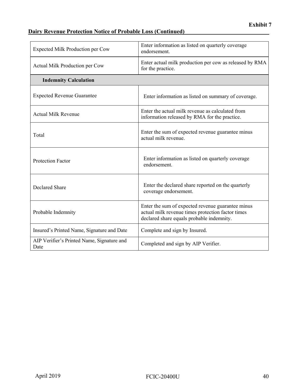# **Dairy Revenue Protection Notice of Probable Loss (Continued)**

| Enter information as listed on quarterly coverage<br>Expected Milk Production per Cow<br>endorsement. |                                                                                                                                                     |
|-------------------------------------------------------------------------------------------------------|-----------------------------------------------------------------------------------------------------------------------------------------------------|
| Actual Milk Production per Cow                                                                        | Enter actual milk production per cow as released by RMA<br>for the practice.                                                                        |
| <b>Indemnity Calculation</b>                                                                          |                                                                                                                                                     |
| <b>Expected Revenue Guarantee</b>                                                                     | Enter information as listed on summary of coverage.                                                                                                 |
| <b>Actual Milk Revenue</b>                                                                            | Enter the actual milk revenue as calculated from<br>information released by RMA for the practice.                                                   |
| Total                                                                                                 | Enter the sum of expected revenue guarantee minus<br>actual milk revenue.                                                                           |
| <b>Protection Factor</b>                                                                              | Enter information as listed on quarterly coverage<br>endorsement.                                                                                   |
| <b>Declared Share</b>                                                                                 | Enter the declared share reported on the quarterly<br>coverage endorsement.                                                                         |
| Probable Indemnity                                                                                    | Enter the sum of expected revenue guarantee minus<br>actual milk revenue times protection factor times<br>declared share equals probable indemnity. |
| Insured's Printed Name, Signature and Date                                                            | Complete and sign by Insured.                                                                                                                       |
| AIP Verifier's Printed Name, Signature and<br>Date                                                    | Completed and sign by AIP Verifier.                                                                                                                 |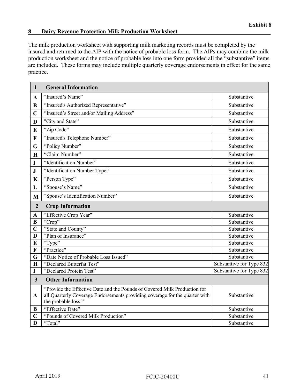#### <span id="page-45-0"></span>**8 Dairy Revenue Protection Milk Production Worksheet\_\_\_\_\_\_\_\_\_\_\_\_\_\_\_\_\_\_\_\_\_\_\_\_\_\_\_\_\_\_\_\_**

The milk production worksheet with supporting milk marketing records must be completed by the insured and returned to the AIP with the notice of probable loss form. The AIPs may combine the milk production worksheet and the notice of probable loss into one form provided all the "substantive" items are included. These forms may include multiple quarterly coverage endorsements in effect for the same practice.

| $\mathbf{1}$            | <b>General Information</b>                                                                                                                                                      |                          |
|-------------------------|---------------------------------------------------------------------------------------------------------------------------------------------------------------------------------|--------------------------|
| $\mathbf A$             | "Insured's Name"                                                                                                                                                                | Substantive              |
| B                       | "Insured's Authorized Representative"                                                                                                                                           | Substantive              |
| $\mathbf C$             | "Insured's Street and/or Mailing Address"                                                                                                                                       | Substantive              |
| D                       | "City and State"                                                                                                                                                                | Substantive              |
| E                       | "Zip Code"                                                                                                                                                                      | Substantive              |
| $\mathbf F$             | "Insured's Telephone Number"                                                                                                                                                    | Substantive              |
| G                       | "Policy Number"                                                                                                                                                                 | Substantive              |
| $\mathbf H$             | "Claim Number"                                                                                                                                                                  | Substantive              |
| $\mathbf I$             | "Identification Number"                                                                                                                                                         | Substantive              |
| ${\bf J}$               | "Identification Number Type"                                                                                                                                                    | Substantive              |
| $\mathbf K$             | "Person Type"                                                                                                                                                                   | Substantive              |
| L                       | "Spouse's Name"                                                                                                                                                                 | Substantive              |
| M                       | "Spouse's Identification Number"                                                                                                                                                | Substantive              |
| $\overline{2}$          | <b>Crop Information</b>                                                                                                                                                         |                          |
| $\mathbf A$             | "Effective Crop Year"                                                                                                                                                           | Substantive              |
| $\bf{B}$                | "Crop"                                                                                                                                                                          | Substantive              |
| $\mathbf C$             | "State and County"                                                                                                                                                              | Substantive              |
| D                       | "Plan of Insurance"                                                                                                                                                             | Substantive              |
| E                       | "Type"                                                                                                                                                                          | Substantive              |
| $\mathbf F$             | "Practice"                                                                                                                                                                      | Substantive              |
| G                       | "Date Notice of Probable Loss Issued"                                                                                                                                           | Substantive              |
| $\mathbf H$             | "Declared Butterfat Test"                                                                                                                                                       | Substantive for Type 832 |
| $\mathbf I$             | "Declared Protein Test"                                                                                                                                                         | Substantive for Type 832 |
| $\overline{\mathbf{3}}$ | <b>Other Information</b>                                                                                                                                                        |                          |
| $\mathbf{A}$            | "Provide the Effective Date and the Pounds of Covered Milk Production for<br>all Quarterly Coverage Endorsements providing coverage for the quarter with<br>the probable loss." | Substantive              |
| B                       | "Effective Date"                                                                                                                                                                | Substantive              |
| C                       | "Pounds of Covered Milk Production"                                                                                                                                             | Substantive              |
| D                       | "Total"                                                                                                                                                                         | Substantive              |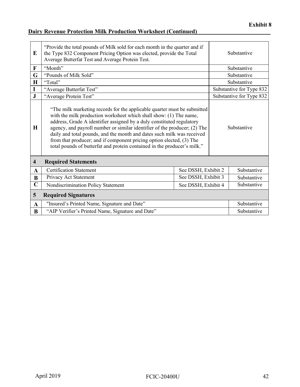# **Dairy Revenue Protection Milk Production Worksheet (Continued)**

| E                       | "Provide the total pounds of Milk sold for each month in the quarter and if<br>the Type 832 Component Pricing Option was elected, provide the Total<br>Average Butterfat Test and Average Protein Test.                                                                                                                                                                                                                                                                                                                                           |  |             | Substantive              |
|-------------------------|---------------------------------------------------------------------------------------------------------------------------------------------------------------------------------------------------------------------------------------------------------------------------------------------------------------------------------------------------------------------------------------------------------------------------------------------------------------------------------------------------------------------------------------------------|--|-------------|--------------------------|
| $\mathbf F$             | "Month"                                                                                                                                                                                                                                                                                                                                                                                                                                                                                                                                           |  |             | Substantive              |
| G                       | "Pounds of Milk Sold"                                                                                                                                                                                                                                                                                                                                                                                                                                                                                                                             |  |             | Substantive              |
| $\mathbf H$             | "Total"                                                                                                                                                                                                                                                                                                                                                                                                                                                                                                                                           |  |             | Substantive              |
| I                       | "Average Butterfat Test"                                                                                                                                                                                                                                                                                                                                                                                                                                                                                                                          |  |             | Substantive for Type 832 |
| $\bf J$                 | "Average Protein Test"                                                                                                                                                                                                                                                                                                                                                                                                                                                                                                                            |  |             | Substantive for Type 832 |
| H                       | "The milk marketing records for the applicable quarter must be submitted<br>with the milk production worksheet which shall show: (1) The name,<br>address, Grade A identifier assigned by a duly constituted regulatory<br>agency, and payroll number or similar identifier of the producer; (2) The<br>Substantive<br>daily and total pounds, and the month and dates such milk was received<br>from that producer; and if component pricing option elected, (3) The<br>total pounds of butterfat and protein contained in the producer's milk." |  |             |                          |
| $\overline{\mathbf{4}}$ | <b>Required Statements</b>                                                                                                                                                                                                                                                                                                                                                                                                                                                                                                                        |  |             |                          |
| $\mathbf{A}$            | <b>Certification Statement</b><br>See DSSH, Exhibit 2                                                                                                                                                                                                                                                                                                                                                                                                                                                                                             |  | Substantive |                          |
| B                       | See DSSH, Exhibit 3<br>Privacy Act Statement                                                                                                                                                                                                                                                                                                                                                                                                                                                                                                      |  | Substantive |                          |
| $\overline{\mathsf{C}}$ | Nondiscrimination Policy Statement<br>See DSSH, Exhibit 4                                                                                                                                                                                                                                                                                                                                                                                                                                                                                         |  | Substantive |                          |
| 5                       | <b>Required Signatures</b>                                                                                                                                                                                                                                                                                                                                                                                                                                                                                                                        |  |             |                          |
| $\mathbf{A}$            | "Insured's Printed Name, Signature and Date"<br>Substantive                                                                                                                                                                                                                                                                                                                                                                                                                                                                                       |  |             |                          |
| $\bf{B}$                | "AIP Verifier's Printed Name, Signature and Date"                                                                                                                                                                                                                                                                                                                                                                                                                                                                                                 |  | Substantive |                          |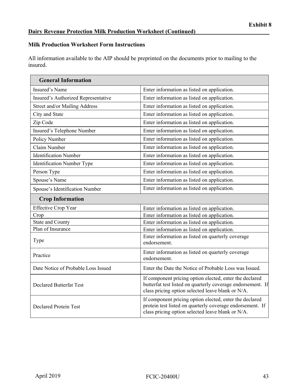## **Milk Production Worksheet Form Instructions**

All information available to the AIP should be preprinted on the documents prior to mailing to the insured.

| <b>General Information</b>          |                                                                                                                                                                             |
|-------------------------------------|-----------------------------------------------------------------------------------------------------------------------------------------------------------------------------|
| Insured's Name                      | Enter information as listed on application.                                                                                                                                 |
| Insured's Authorized Representative | Enter information as listed on application.                                                                                                                                 |
| Street and/or Mailing Address       | Enter information as listed on application.                                                                                                                                 |
| City and State                      | Enter information as listed on application.                                                                                                                                 |
| Zip Code                            | Enter information as listed on application.                                                                                                                                 |
| Insured's Telephone Number          | Enter information as listed on application.                                                                                                                                 |
| Policy Number                       | Enter information as listed on application.                                                                                                                                 |
| Claim Number                        | Enter information as listed on application.                                                                                                                                 |
| <b>Identification Number</b>        | Enter information as listed on application.                                                                                                                                 |
| Identification Number Type          | Enter information as listed on application.                                                                                                                                 |
| Person Type                         | Enter information as listed on application.                                                                                                                                 |
| Spouse's Name                       | Enter information as listed on application.                                                                                                                                 |
| Spouse's Identification Number      | Enter information as listed on application.                                                                                                                                 |
| <b>Crop Information</b>             |                                                                                                                                                                             |
| <b>Effective Crop Year</b>          | Enter information as listed on application.                                                                                                                                 |
| Crop                                | Enter information as listed on application.                                                                                                                                 |
| <b>State and County</b>             | Enter information as listed on application.                                                                                                                                 |
| Plan of Insurance                   | Enter information as listed on application.                                                                                                                                 |
| Type                                | Enter information as listed on quarterly coverage<br>endorsement.                                                                                                           |
| Practice                            | Enter information as listed on quarterly coverage<br>endorsement.                                                                                                           |
| Date Notice of Probable Loss Issued | Enter the Date the Notice of Probable Loss was Issued.                                                                                                                      |
| <b>Declared Butterfat Test</b>      | If component pricing option elected, enter the declared<br>butterfat test listed on quarterly coverage endorsement. If<br>class pricing option selected leave blank or N/A. |
| <b>Declared Protein Test</b>        | If component pricing option elected, enter the declared<br>protein test listed on quarterly coverage endorsement. If<br>class pricing option selected leave blank or N/A.   |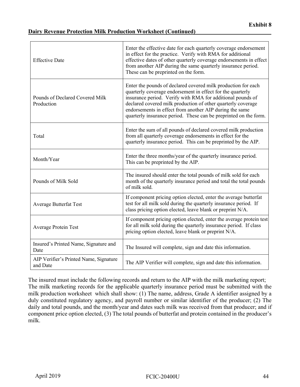#### **Dairy Revenue Protection Milk Production Worksheet (Continued)**

| <b>Effective Date</b>                              | Enter the effective date for each quarterly coverage endorsement<br>in effect for the practice. Verify with RMA for additional<br>effective dates of other quarterly coverage endorsements in effect<br>from another AIP during the same quarterly insurance period.<br>These can be preprinted on the form.                                                                             |
|----------------------------------------------------|------------------------------------------------------------------------------------------------------------------------------------------------------------------------------------------------------------------------------------------------------------------------------------------------------------------------------------------------------------------------------------------|
| Pounds of Declared Covered Milk<br>Production      | Enter the pounds of declared covered milk production for each<br>quarterly coverage endorsement in effect for the quarterly<br>insurance period. Verify with RMA for additional pounds of<br>declared covered milk production of other quarterly coverage<br>endorsements in effect from another AIP during the same<br>quarterly insurance period. These can be preprinted on the form. |
| Total                                              | Enter the sum of all pounds of declared covered milk production<br>from all quarterly coverage endorsements in effect for the<br>quarterly insurance period. This can be preprinted by the AIP.                                                                                                                                                                                          |
| Month/Year                                         | Enter the three months/year of the quarterly insurance period.<br>This can be preprinted by the AIP.                                                                                                                                                                                                                                                                                     |
| Pounds of Milk Sold                                | The insured should enter the total pounds of milk sold for each<br>month of the quarterly insurance period and total the total pounds<br>of milk sold.                                                                                                                                                                                                                                   |
| <b>Average Butterfat Test</b>                      | If component pricing option elected, enter the average butterfat<br>test for all milk sold during the quarterly insurance period. If<br>class pricing option elected, leave blank or preprint N/A.                                                                                                                                                                                       |
| <b>Average Protein Test</b>                        | If component pricing option elected, enter the average protein test<br>for all milk sold during the quarterly insurance period. If class<br>pricing option elected, leave blank or preprint N/A.                                                                                                                                                                                         |
| Insured's Printed Name, Signature and<br>Date      | The Insured will complete, sign and date this information.                                                                                                                                                                                                                                                                                                                               |
| AIP Verifier's Printed Name, Signature<br>and Date | The AIP Verifier will complete, sign and date this information.                                                                                                                                                                                                                                                                                                                          |

The insured must include the following records and return to the AIP with the milk marketing report; The milk marketing records for the applicable quarterly insurance period must be submitted with the milk production worksheet which shall show: (1) The name, address, Grade A identifier assigned by a duly constituted regulatory agency, and payroll number or similar identifier of the producer; (2) The daily and total pounds, and the month/year and dates such milk was received from that producer; and if component price option elected, (3) The total pounds of butterfat and protein contained in the producer's milk.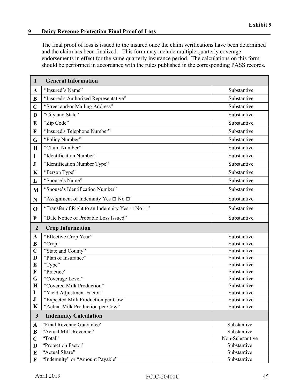#### <span id="page-49-0"></span>**9** Dairy Revenue Protection Final Proof of Loss

The final proof of loss is issued to the insured once the claim verifications have been determined and the claim has been finalized. This form may include multiple quarterly coverage endorsements in effect for the same quarterly insurance period. The calculations on this form should be performed in accordance with the rules published in the corresponding PASS records.

| $\mathbf{1}$     | <b>General Information</b>                                |                 |  |
|------------------|-----------------------------------------------------------|-----------------|--|
| $\mathbf A$      | "Insured's Name"                                          | Substantive     |  |
| B                | "Insured's Authorized Representative"                     | Substantive     |  |
| $\mathbf C$      | "Street and/or Mailing Address"                           | Substantive     |  |
| D                | "City and State"                                          | Substantive     |  |
| E                | "Zip Code"                                                | Substantive     |  |
| $\mathbf F$      | "Insured's Telephone Number"                              | Substantive     |  |
| G                | "Policy Number"                                           | Substantive     |  |
| $\mathbf H$      | "Claim Number"                                            | Substantive     |  |
| I                | "Identification Number"                                   | Substantive     |  |
| ${\bf J}$        | "Identification Number Type"                              | Substantive     |  |
| $\mathbf K$      | "Person Type"                                             | Substantive     |  |
| L                | "Spouse's Name"                                           | Substantive     |  |
| M                | "Spouse's Identification Number"                          | Substantive     |  |
| $\mathbf N$      | "Assignment of Indemnity Yes $\Box$ No $\Box$ "           | Substantive     |  |
| $\mathbf 0$      | "Transfer of Right to an Indemnity Yes $\Box$ No $\Box$ " | Substantive     |  |
| ${\bf P}$        | "Date Notice of Probable Loss Issued"                     | Substantive     |  |
| $\boldsymbol{2}$ | <b>Crop Information</b>                                   |                 |  |
| $\mathbf A$      | "Effective Crop Year"                                     | Substantive     |  |
| B                | "Crop"                                                    | Substantive     |  |
| $\mathbf C$      | "State and County"                                        | Substantive     |  |
| D                | "Plan of Insurance"                                       | Substantive     |  |
| E                | "Type"                                                    | Substantive     |  |
| $\mathbf F$      | "Practice"                                                | Substantive     |  |
| G                | "Coverage Level"                                          | Substantive     |  |
| $\mathbf H$      | "Covered Milk Production"                                 | Substantive     |  |
| I                | "Yield Adjustment Factor"                                 | Substantive     |  |
| ${\bf J}$        | "Expected Milk Production per Cow"                        | Substantive     |  |
| $\mathbf K$      | "Actual Milk Production per Cow"                          | Substantive     |  |
| $\mathbf{3}$     | <b>Indemnity Calculation</b>                              |                 |  |
| $\mathbf{A}$     | "Final Revenue Guarantee"                                 | Substantive     |  |
| B                | "Actual Milk Revenue"                                     | Substantive     |  |
| $\mathbf C$      | "Total"                                                   | Non-Substantive |  |
| D                | "Protection Factor"                                       | Substantive     |  |
| E                | "Actual Share"                                            | Substantive     |  |
| $\mathbf F$      | "Indemnity" or "Amount Payable"                           | Substantive     |  |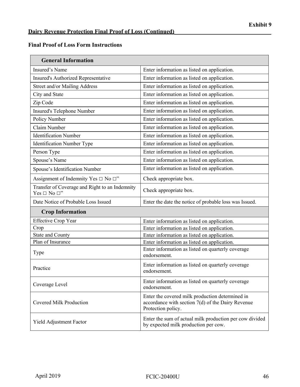$\overline{\phantom{0}}$ 

### **Final Proof of Loss Form Instructions**

| <b>General Information</b>                                               |                                                                                                                              |  |  |
|--------------------------------------------------------------------------|------------------------------------------------------------------------------------------------------------------------------|--|--|
| Insured's Name                                                           | Enter information as listed on application.                                                                                  |  |  |
| Insured's Authorized Representative                                      | Enter information as listed on application.                                                                                  |  |  |
| Street and/or Mailing Address                                            | Enter information as listed on application.                                                                                  |  |  |
| City and State                                                           | Enter information as listed on application.                                                                                  |  |  |
| Zip Code                                                                 | Enter information as listed on application.                                                                                  |  |  |
| Insured's Telephone Number                                               | Enter information as listed on application.                                                                                  |  |  |
| Policy Number                                                            | Enter information as listed on application.                                                                                  |  |  |
| Claim Number                                                             | Enter information as listed on application.                                                                                  |  |  |
| <b>Identification Number</b>                                             | Enter information as listed on application.                                                                                  |  |  |
| <b>Identification Number Type</b>                                        | Enter information as listed on application.                                                                                  |  |  |
| Person Type                                                              | Enter information as listed on application.                                                                                  |  |  |
| Spouse's Name                                                            | Enter information as listed on application.                                                                                  |  |  |
| Spouse's Identification Number                                           | Enter information as listed on application.                                                                                  |  |  |
| Assignment of Indemnity Yes $\Box$ No $\Box$ "                           | Check appropriate box.                                                                                                       |  |  |
| Transfer of Coverage and Right to an Indemnity<br>Yes $\Box$ No $\Box$ " | Check appropriate box.                                                                                                       |  |  |
| Date Notice of Probable Loss Issued                                      | Enter the date the notice of probable loss was Issued.                                                                       |  |  |
| <b>Crop Information</b>                                                  |                                                                                                                              |  |  |
| <b>Effective Crop Year</b>                                               | Enter information as listed on application.                                                                                  |  |  |
| Crop                                                                     | Enter information as listed on application.                                                                                  |  |  |
| <b>State and County</b>                                                  | Enter information as listed on application.                                                                                  |  |  |
| Plan of Insurance                                                        | Enter information as listed on application.                                                                                  |  |  |
| Type                                                                     | Enter information as listed on quarterly coverage<br>endorsement.                                                            |  |  |
| Practice                                                                 | Enter information as listed on quarterly coverage<br>endorsement.                                                            |  |  |
| Coverage Level                                                           | Enter information as listed on quarterly coverage<br>endorsement.                                                            |  |  |
| <b>Covered Milk Production</b>                                           | Enter the covered milk production determined in<br>accordance with section $7(d)$ of the Dairy Revenue<br>Protection policy. |  |  |
| Yield Adjustment Factor                                                  | Enter the sum of actual milk production per cow divided<br>by expected milk production per cow.                              |  |  |